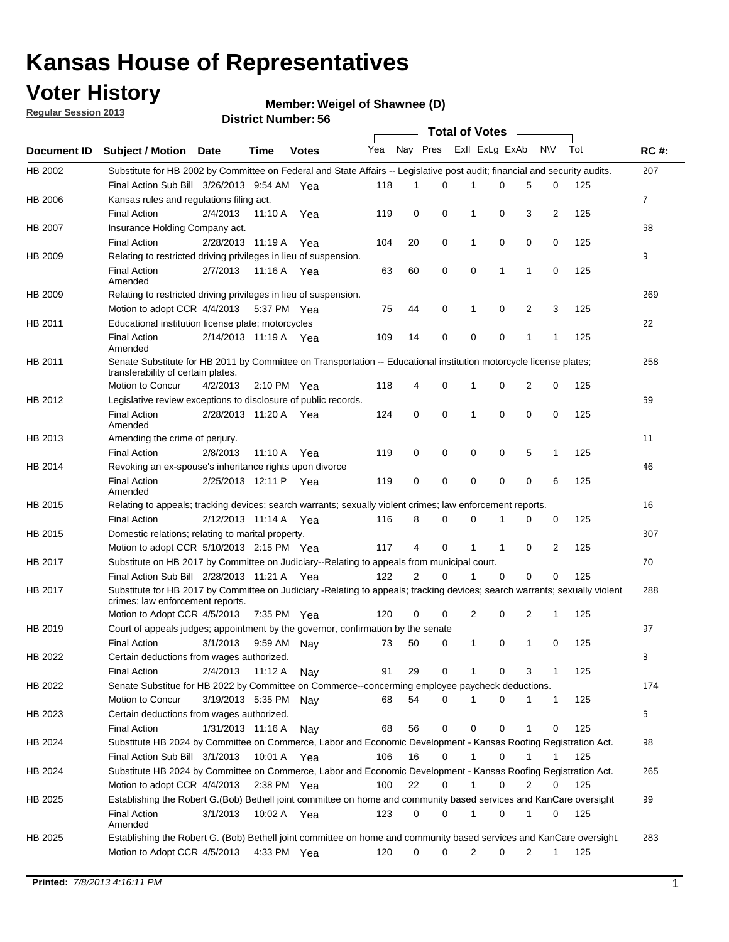### **Voter History**

**Member: Weigel of Shawnee (D)** 

**Regular Session 2013**

|                    |                                                                                                                                                                |                       | טט וטעוווטנו שוווט    |              |                             |                |             | <b>Total of Votes</b> |              |                |                |     |                |
|--------------------|----------------------------------------------------------------------------------------------------------------------------------------------------------------|-----------------------|-----------------------|--------------|-----------------------------|----------------|-------------|-----------------------|--------------|----------------|----------------|-----|----------------|
| <b>Document ID</b> | <b>Subject / Motion Date</b>                                                                                                                                   |                       | <b>Time</b>           | <b>Votes</b> | Yea Nay Pres Exll ExLg ExAb |                |             |                       |              |                | N\V            | Tot | <b>RC#:</b>    |
| HB 2002            | Substitute for HB 2002 by Committee on Federal and State Affairs -- Legislative post audit; financial and security audits.                                     |                       |                       |              |                             |                |             |                       |              |                |                |     | 207            |
|                    | Final Action Sub Bill 3/26/2013 9:54 AM Yea                                                                                                                    |                       |                       |              | 118                         | 1              | 0           |                       | 0            | 5              | 0              | 125 |                |
| HB 2006            | Kansas rules and regulations filing act.                                                                                                                       |                       |                       |              |                             |                |             |                       |              |                |                |     | $\overline{7}$ |
|                    | <b>Final Action</b>                                                                                                                                            | 2/4/2013              | 11:10 A               | Yea          | 119                         | 0              | 0           | $\mathbf 1$           | 0            | 3              | $\overline{2}$ | 125 |                |
| HB 2007            | Insurance Holding Company act.                                                                                                                                 |                       |                       |              |                             |                |             |                       |              |                |                |     | 68             |
|                    | <b>Final Action</b>                                                                                                                                            | 2/28/2013 11:19 A     |                       | Yea          | 104                         | 20             | 0           | 1                     | 0            | 0              | 0              | 125 |                |
| HB 2009            | Relating to restricted driving privileges in lieu of suspension.                                                                                               |                       |                       |              |                             |                |             |                       |              |                |                |     | 9              |
|                    | <b>Final Action</b><br>Amended                                                                                                                                 | 2/7/2013              | 11:16 A Yea           |              | 63                          | 60             | $\mathbf 0$ | 0                     | $\mathbf 1$  | $\mathbf 1$    | 0              | 125 |                |
| HB 2009            | Relating to restricted driving privileges in lieu of suspension.                                                                                               |                       |                       |              |                             |                |             |                       |              |                |                |     | 269            |
|                    | Motion to adopt CCR 4/4/2013                                                                                                                                   |                       | 5:37 PM Yea           |              | 75                          | 44             | 0           | 1                     | 0            | 2              | 3              | 125 |                |
| HB 2011            | Educational institution license plate; motorcycles                                                                                                             |                       |                       |              |                             |                |             |                       |              |                |                |     | 22             |
|                    | <b>Final Action</b><br>Amended                                                                                                                                 | 2/14/2013 11:19 A Yea |                       |              | 109                         | 14             | 0           | 0                     | 0            | 1              | 1              | 125 |                |
| HB 2011            | Senate Substitute for HB 2011 by Committee on Transportation -- Educational institution motorcycle license plates;                                             |                       |                       |              |                             |                |             |                       |              |                |                |     | 258            |
|                    | transferability of certain plates.                                                                                                                             |                       |                       |              |                             |                |             |                       |              |                |                |     |                |
|                    | Motion to Concur                                                                                                                                               | 4/2/2013              | $2:10 \text{ PM}$ Yea |              | 118                         | 4              | 0           | 1                     | 0            | $\overline{2}$ | 0              | 125 |                |
| HB 2012            | Legislative review exceptions to disclosure of public records.                                                                                                 |                       |                       |              |                             |                |             |                       |              |                |                |     | 69             |
|                    | <b>Final Action</b><br>Amended                                                                                                                                 | 2/28/2013 11:20 A Yea |                       |              | 124                         | 0              | 0           | 1                     | 0            | 0              | 0              | 125 |                |
| HB 2013            | Amending the crime of perjury.                                                                                                                                 |                       |                       |              |                             |                |             |                       |              |                |                |     | 11             |
|                    | <b>Final Action</b>                                                                                                                                            | 2/8/2013              | 11:10 A               | Yea          | 119                         | 0              | 0           | 0                     | 0            | 5              | 1              | 125 |                |
| HB 2014            | Revoking an ex-spouse's inheritance rights upon divorce                                                                                                        |                       |                       |              |                             |                |             |                       |              |                |                |     | 46             |
|                    | <b>Final Action</b><br>Amended                                                                                                                                 | 2/25/2013 12:11 P Yea |                       |              | 119                         | 0              | $\mathbf 0$ | 0                     | 0            | 0              | 6              | 125 |                |
| HB 2015            | Relating to appeals; tracking devices; search warrants; sexually violent crimes; law enforcement reports.                                                      |                       |                       |              |                             |                |             |                       |              |                |                |     | 16             |
|                    | <b>Final Action</b>                                                                                                                                            | 2/12/2013 11:14 A Yea |                       |              | 116                         | 8              | 0           | 0                     |              | 0              | 0              | 125 |                |
| HB 2015            | Domestic relations; relating to marital property.                                                                                                              |                       |                       |              |                             |                |             |                       |              |                |                |     | 307            |
|                    | Motion to adopt CCR 5/10/2013 2:15 PM Yea                                                                                                                      |                       |                       |              | 117                         | 4              | 0           | $\mathbf{1}$          | $\mathbf{1}$ | 0              | 2              | 125 |                |
| HB 2017            | Substitute on HB 2017 by Committee on Judiciary--Relating to appeals from municipal court.                                                                     |                       |                       |              |                             |                |             |                       |              |                |                |     | 70             |
|                    | Final Action Sub Bill 2/28/2013 11:21 A Yea                                                                                                                    |                       |                       |              | 122                         | $\overline{2}$ | 0           | 1                     | $\Omega$     | 0              | 0              | 125 |                |
| <b>HB 2017</b>     | Substitute for HB 2017 by Committee on Judiciary -Relating to appeals; tracking devices; search warrants; sexually violent<br>crimes; law enforcement reports. |                       |                       |              |                             |                |             |                       |              |                |                |     | 288            |
|                    | Motion to Adopt CCR 4/5/2013 7:35 PM Yea                                                                                                                       |                       |                       |              | 120                         | 0              | 0           | $\overline{2}$        | 0            | 2              | 1              | 125 |                |
| HB 2019            | Court of appeals judges; appointment by the governor, confirmation by the senate                                                                               |                       |                       |              |                             |                |             |                       |              |                |                |     | 97             |
|                    | <b>Final Action</b>                                                                                                                                            | 3/1/2013              | 9:59 AM Nay           |              | 73                          | 50             | 0           | 1                     | 0            | 1              | 0              | 125 |                |
| HB 2022            | Certain deductions from wages authorized.                                                                                                                      |                       |                       |              |                             |                |             |                       |              |                |                |     | В              |
|                    | <b>Final Action</b>                                                                                                                                            | 2/4/2013              | 11:12 A               | Nav          | 91                          | 29             | 0           |                       | 0            | 3              | 1              | 125 |                |
| HB 2022            | Senate Substitue for HB 2022 by Committee on Commerce--concerming employee paycheck deductions.                                                                |                       |                       |              |                             |                |             |                       |              |                |                |     | 174            |
|                    | Motion to Concur                                                                                                                                               | 3/19/2013 5:35 PM Nay |                       |              | 68                          | 54             | 0           | 1                     | 0            | 1              | 1              | 125 |                |
| HB 2023            | Certain deductions from wages authorized.                                                                                                                      |                       |                       |              |                             |                |             |                       |              |                |                |     | 6              |
|                    | <b>Final Action</b>                                                                                                                                            | 1/31/2013 11:16 A     |                       | Nav          | 68                          | 56             | 0           | 0                     | 0            | 1              | 0              | 125 |                |
| HB 2024            | Substitute HB 2024 by Committee on Commerce, Labor and Economic Development - Kansas Roofing Registration Act.                                                 |                       |                       |              |                             |                |             |                       |              |                |                |     | 98             |
|                    | Final Action Sub Bill 3/1/2013                                                                                                                                 |                       | 10:01 A Yea           |              | 106                         | 16             | 0           | $\mathbf{1}$          | 0            | 1              | 1              | 125 |                |
| HB 2024            | Substitute HB 2024 by Committee on Commerce, Labor and Economic Development - Kansas Roofing Registration Act.                                                 |                       |                       |              |                             |                |             |                       |              |                |                |     | 265            |
|                    | Motion to adopt CCR 4/4/2013                                                                                                                                   |                       | $2:38$ PM Yea         |              | 100                         | 22             | 0           | $\mathbf{1}$          | 0            | 2              | 0              | 125 |                |
| HB 2025            | Establishing the Robert G.(Bob) Bethell joint committee on home and community based services and KanCare oversight                                             |                       |                       |              |                             |                |             |                       |              |                |                |     | 99             |
|                    | <b>Final Action</b><br>Amended                                                                                                                                 | 3/1/2013              | 10:02 A Yea           |              | 123                         | 0              | 0           | $\mathbf{1}$          | 0            | 1              | 0              | 125 |                |
| HB 2025            | Establishing the Robert G. (Bob) Bethell joint committee on home and community based services and KanCare oversight.                                           |                       |                       |              |                             |                |             |                       |              |                |                |     | 283            |
|                    | Motion to Adopt CCR 4/5/2013                                                                                                                                   |                       | 4:33 PM Yea           |              | 120                         | 0              | 0           | 2                     | 0            | 2              | 1              | 125 |                |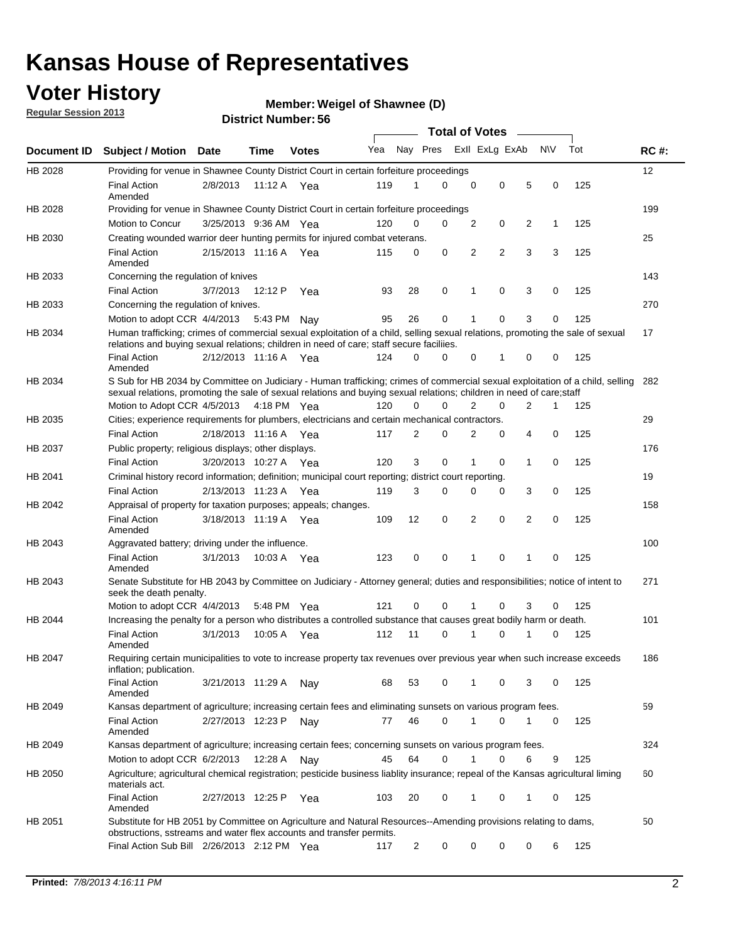### **Voter History**

**Member: Weigel of Shawnee (D)** 

**Regular Session 2013**

|                    |                                                                                                                                                                                                                                                       |                       |         |              |     |                         | <b>Total of Votes</b> |                |   |                |           |     |             |
|--------------------|-------------------------------------------------------------------------------------------------------------------------------------------------------------------------------------------------------------------------------------------------------|-----------------------|---------|--------------|-----|-------------------------|-----------------------|----------------|---|----------------|-----------|-----|-------------|
| <b>Document ID</b> | <b>Subject / Motion Date</b>                                                                                                                                                                                                                          |                       | Time    | <b>Votes</b> | Yea | Nay Pres Exll ExLg ExAb |                       |                |   |                | <b>NV</b> | Tot | <b>RC#:</b> |
| HB 2028            | Providing for venue in Shawnee County District Court in certain forfeiture proceedings                                                                                                                                                                |                       |         |              |     |                         |                       |                |   |                |           |     | 12          |
|                    | <b>Final Action</b><br>Amended                                                                                                                                                                                                                        | 2/8/2013              | 11:12 A | Yea          | 119 | 1                       | 0                     | 0              | 0 | 5              | 0         | 125 |             |
| HB 2028            | Providing for venue in Shawnee County District Court in certain forfeiture proceedings                                                                                                                                                                |                       |         |              |     |                         |                       |                |   |                |           |     | 199         |
|                    | Motion to Concur                                                                                                                                                                                                                                      | 3/25/2013 9:36 AM Yea |         |              | 120 | 0                       | 0                     | 2              | 0 | 2              | 1         | 125 |             |
| HB 2030            | Creating wounded warrior deer hunting permits for injured combat veterans.                                                                                                                                                                            |                       |         |              |     |                         |                       |                |   |                |           |     | 25          |
|                    | <b>Final Action</b><br>Amended                                                                                                                                                                                                                        | 2/15/2013 11:16 A Yea |         |              | 115 | 0                       | 0                     | 2              | 2 | 3              | 3         | 125 |             |
| HB 2033            | Concerning the regulation of knives                                                                                                                                                                                                                   |                       |         |              |     |                         |                       |                |   |                |           |     | 143         |
|                    | <b>Final Action</b>                                                                                                                                                                                                                                   | 3/7/2013              | 12:12 P | Yea          | 93  | 28                      | 0                     | 1              | 0 | 3              | 0         | 125 |             |
| HB 2033            | Concerning the regulation of knives.                                                                                                                                                                                                                  |                       |         |              |     |                         |                       |                |   |                |           |     | 270         |
|                    | Motion to adopt CCR 4/4/2013                                                                                                                                                                                                                          |                       |         | 5:43 PM Nay  | 95  | 26                      | 0                     |                | 0 | 3              | 0         | 125 |             |
| HB 2034            | Human trafficking; crimes of commercial sexual exploitation of a child, selling sexual relations, promoting the sale of sexual<br>relations and buying sexual relations; children in need of care; staff secure faciliies.                            |                       |         |              |     |                         |                       |                |   |                |           |     | 17          |
|                    | <b>Final Action</b><br>Amended                                                                                                                                                                                                                        | 2/12/2013 11:16 A Yea |         |              | 124 | 0                       | 0                     | 0              | 1 | 0              | 0         | 125 |             |
| HB 2034            | S Sub for HB 2034 by Committee on Judiciary - Human trafficking; crimes of commercial sexual exploitation of a child, selling<br>sexual relations, promoting the sale of sexual relations and buying sexual relations; children in need of care;staff |                       |         |              |     |                         |                       |                |   |                |           |     | 282         |
|                    | Motion to Adopt CCR 4/5/2013 4:18 PM Yea                                                                                                                                                                                                              |                       |         |              | 120 | 0                       | 0                     | $\overline{2}$ | 0 | $\overline{2}$ | 1         | 125 |             |
| HB 2035            | Cities; experience requirements for plumbers, electricians and certain mechanical contractors.                                                                                                                                                        |                       |         |              |     |                         |                       |                |   |                |           |     | 29          |
|                    | <b>Final Action</b>                                                                                                                                                                                                                                   | 2/18/2013 11:16 A     |         | Yea          | 117 | 2                       | 0                     | 2              | 0 | 4              | 0         | 125 |             |
| HB 2037            | Public property; religious displays; other displays.                                                                                                                                                                                                  |                       |         |              |     |                         |                       |                |   |                |           |     | 176         |
|                    | <b>Final Action</b>                                                                                                                                                                                                                                   | 3/20/2013 10:27 A     |         | Yea          | 120 | 3                       | 0                     |                | 0 | 1              | 0         | 125 |             |
| HB 2041            | Criminal history record information; definition; municipal court reporting; district court reporting.                                                                                                                                                 |                       |         |              |     |                         |                       |                |   |                |           |     | 19          |
|                    | <b>Final Action</b>                                                                                                                                                                                                                                   | 2/13/2013 11:23 A     |         | Yea          | 119 | 3                       | 0                     | $\Omega$       | 0 | 3              | 0         | 125 |             |
| HB 2042            | Appraisal of property for taxation purposes; appeals; changes.                                                                                                                                                                                        |                       |         |              |     |                         |                       |                |   |                |           |     | 158         |
|                    | <b>Final Action</b><br>Amended                                                                                                                                                                                                                        | 3/18/2013 11:19 A Yea |         |              | 109 | 12                      | 0                     | 2              | 0 | 2              | 0         | 125 |             |
| HB 2043            | Aggravated battery; driving under the influence.                                                                                                                                                                                                      |                       |         |              |     |                         |                       |                |   |                |           |     | 100         |
|                    | <b>Final Action</b><br>Amended                                                                                                                                                                                                                        | 3/1/2013              |         | 10:03 A Yea  | 123 | 0                       | 0                     | 1              | 0 | 1              | 0         | 125 |             |
| HB 2043            | Senate Substitute for HB 2043 by Committee on Judiciary - Attorney general; duties and responsibilities; notice of intent to<br>seek the death penalty.                                                                                               |                       |         |              |     |                         |                       |                |   |                |           |     | 271         |
|                    | Motion to adopt CCR 4/4/2013                                                                                                                                                                                                                          |                       |         | 5:48 PM Yea  | 121 | 0                       | 0                     | 1              | 0 | 3              | 0         | 125 |             |
| HB 2044            | Increasing the penalty for a person who distributes a controlled substance that causes great bodily harm or death.                                                                                                                                    |                       |         |              |     |                         |                       |                |   |                |           |     | 101         |
|                    | <b>Final Action</b><br>Amended                                                                                                                                                                                                                        | 3/1/2013              | 10:05 A | Yea          | 112 | 11                      | 0                     | 1              | 0 | 1              | 0         | 125 |             |
| HB 2047            | Requiring certain municipalities to vote to increase property tax revenues over previous year when such increase exceeds<br>inflation; publication.                                                                                                   |                       |         |              |     |                         |                       |                |   |                |           |     | 186         |
|                    | <b>Final Action</b><br>Amended                                                                                                                                                                                                                        | 3/21/2013 11:29 A     |         | Nav          | 68  | 53                      | 0                     | 1              | 0 | 3              | 0         | 125 |             |
| HB 2049            | Kansas department of agriculture; increasing certain fees and eliminating sunsets on various program fees.                                                                                                                                            |                       |         |              |     |                         |                       |                |   |                |           |     | 59          |
|                    | <b>Final Action</b><br>Amended                                                                                                                                                                                                                        | 2/27/2013 12:23 P     |         | Nay          | 77  | 46                      | 0                     | 1              | 0 |                | 0         | 125 |             |
| HB 2049            | Kansas department of agriculture; increasing certain fees; concerning sunsets on various program fees.                                                                                                                                                |                       |         |              |     |                         |                       |                |   |                |           |     | 324         |
|                    | Motion to adopt CCR 6/2/2013                                                                                                                                                                                                                          |                       | 12:28 A | Nay          | 45  | 64                      | 0                     | 1              | 0 | 6              | 9         | 125 |             |
| HB 2050            | Agriculture; agricultural chemical registration; pesticide business liablity insurance; repeal of the Kansas agricultural liming<br>materials act.                                                                                                    |                       |         |              |     |                         |                       |                |   |                |           |     | 60          |
|                    | <b>Final Action</b><br>Amended                                                                                                                                                                                                                        | 2/27/2013 12:25 P     |         | Yea          | 103 | 20                      | 0                     |                | 0 | 1              | 0         | 125 |             |
| HB 2051            | Substitute for HB 2051 by Committee on Agriculture and Natural Resources--Amending provisions relating to dams,<br>obstructions, sstreams and water flex accounts and transfer permits.                                                               |                       |         |              |     |                         |                       |                |   |                |           |     | 50          |
|                    | Final Action Sub Bill 2/26/2013 2:12 PM Yea                                                                                                                                                                                                           |                       |         |              | 117 | $\overline{c}$          | 0                     | $\Omega$       | 0 | 0              | 6         | 125 |             |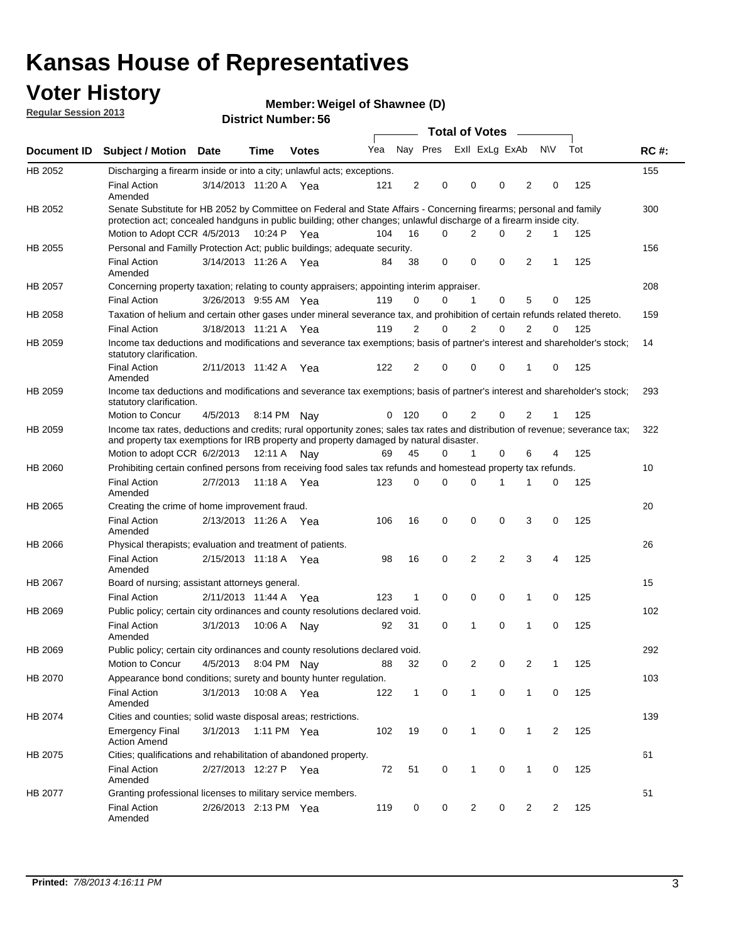### **Voter History**

**Member: Weigel of Shawnee (D)** 

**Regular Session 2013**

|                |                                                                                                                                                                                                                                          |                       |             |              |     |                         |                         | <b>Total of Votes</b> | $\sim$         |                |                |     |             |
|----------------|------------------------------------------------------------------------------------------------------------------------------------------------------------------------------------------------------------------------------------------|-----------------------|-------------|--------------|-----|-------------------------|-------------------------|-----------------------|----------------|----------------|----------------|-----|-------------|
| Document ID    | <b>Subject / Motion Date</b>                                                                                                                                                                                                             |                       | Time        | <b>Votes</b> | Yea |                         | Nay Pres Exll ExLg ExAb |                       |                |                | N\V            | Tot | <b>RC#:</b> |
| HB 2052        | Discharging a firearm inside or into a city; unlawful acts; exceptions.                                                                                                                                                                  |                       |             |              |     |                         |                         |                       |                |                |                |     | 155         |
|                | <b>Final Action</b><br>Amended                                                                                                                                                                                                           | 3/14/2013 11:20 A Yea |             |              | 121 | $\overline{2}$          | $\mathbf 0$             | 0                     | $\Omega$       | 2              | 0              | 125 |             |
| HB 2052        | Senate Substitute for HB 2052 by Committee on Federal and State Affairs - Concerning firearms; personal and family<br>protection act; concealed handguns in public building; other changes; unlawful discharge of a firearm inside city. |                       |             |              |     |                         |                         |                       |                |                |                |     | 300         |
|                | Motion to Adopt CCR 4/5/2013                                                                                                                                                                                                             |                       | 10:24 P Yea |              | 104 | 16                      | $\Omega$                | 2                     | $\Omega$       | 2              | 1              | 125 |             |
| HB 2055        | Personal and Familly Protection Act; public buildings; adequate security.                                                                                                                                                                |                       |             |              |     |                         |                         |                       |                |                |                |     | 156         |
|                | <b>Final Action</b><br>Amended                                                                                                                                                                                                           | 3/14/2013 11:26 A Yea |             |              | 84  | 38                      | 0                       | 0                     | $\mathbf 0$    | 2              | 1              | 125 |             |
| HB 2057        | Concerning property taxation; relating to county appraisers; appointing interim appraiser.                                                                                                                                               |                       |             |              |     |                         |                         |                       |                |                |                |     | 208         |
|                | <b>Final Action</b>                                                                                                                                                                                                                      | 3/26/2013 9:55 AM Yea |             |              | 119 | 0                       | 0                       | 1                     | 0              | 5              | 0              | 125 |             |
| HB 2058        | Taxation of helium and certain other gases under mineral severance tax, and prohibition of certain refunds related thereto.                                                                                                              |                       |             |              |     |                         |                         |                       |                |                |                |     | 159         |
|                | <b>Final Action</b>                                                                                                                                                                                                                      | 3/18/2013 11:21 A Yea |             |              | 119 | 2                       | 0                       | 2                     | $\Omega$       | 2              | $\Omega$       | 125 |             |
| HB 2059        | Income tax deductions and modifications and severance tax exemptions; basis of partner's interest and shareholder's stock;<br>statutory clarification.                                                                                   |                       |             |              |     |                         |                         |                       |                |                |                |     | 14          |
|                | <b>Final Action</b><br>Amended                                                                                                                                                                                                           | 2/11/2013 11:42 A     |             | Yea          | 122 | $\overline{\mathbf{c}}$ | 0                       | 0                     | 0              | 1              | 0              | 125 |             |
| HB 2059        | Income tax deductions and modifications and severance tax exemptions; basis of partner's interest and shareholder's stock;<br>statutory clarification.                                                                                   |                       |             |              |     |                         |                         |                       |                |                |                |     | 293         |
|                | Motion to Concur                                                                                                                                                                                                                         | 4/5/2013              |             | 8:14 PM Nay  | 0   | 120                     | 0                       | 2                     | 0              | 2              | 1              | 125 |             |
| HB 2059        | Income tax rates, deductions and credits; rural opportunity zones; sales tax rates and distribution of revenue; severance tax;<br>and property tax exemptions for IRB property and property damaged by natural disaster.                 |                       |             |              |     |                         |                         |                       |                |                |                |     | 322         |
|                | Motion to adopt CCR 6/2/2013                                                                                                                                                                                                             |                       | 12:11 A     | Nay          | 69  | 45                      | 0                       | $\mathbf{1}$          | 0              | 6              | 4              | 125 |             |
| <b>HB 2060</b> | Prohibiting certain confined persons from receiving food sales tax refunds and homestead property tax refunds.                                                                                                                           |                       |             |              |     |                         |                         |                       |                |                |                |     | 10          |
|                | <b>Final Action</b><br>Amended                                                                                                                                                                                                           | 2/7/2013              | 11:18 A     | Yea          | 123 | 0                       | $\Omega$                | 0                     | 1              | 1              | 0              | 125 |             |
| HB 2065        | Creating the crime of home improvement fraud.                                                                                                                                                                                            |                       |             |              |     |                         |                         |                       |                |                |                |     | 20          |
|                | <b>Final Action</b><br>Amended                                                                                                                                                                                                           | 2/13/2013 11:26 A Yea |             |              | 106 | 16                      | 0                       | 0                     | 0              | 3              | 0              | 125 |             |
| HB 2066        | Physical therapists; evaluation and treatment of patients.                                                                                                                                                                               |                       |             |              |     |                         |                         |                       |                |                |                |     | 26          |
|                | <b>Final Action</b><br>Amended                                                                                                                                                                                                           | 2/15/2013 11:18 A Yea |             |              | 98  | 16                      | 0                       | 2                     | $\overline{2}$ | 3              | 4              | 125 |             |
| <b>HB 2067</b> | Board of nursing; assistant attorneys general.                                                                                                                                                                                           |                       |             |              |     |                         |                         |                       |                |                |                |     | 15          |
|                | <b>Final Action</b>                                                                                                                                                                                                                      | 2/11/2013 11:44 A Yea |             |              | 123 | $\mathbf{1}$            | 0                       | 0                     | $\mathbf 0$    | 1              | 0              | 125 |             |
| HB 2069        | Public policy; certain city ordinances and county resolutions declared void.                                                                                                                                                             |                       |             |              |     |                         |                         |                       |                |                |                |     | 102         |
|                | <b>Final Action</b><br>Amended                                                                                                                                                                                                           | 3/1/2013              | 10:06 A     | Nay          | 92  | 31                      | 0                       | 1                     | 0              | 1              | 0              | 125 |             |
| HB 2069        | Public policy; certain city ordinances and county resolutions declared void.                                                                                                                                                             |                       |             |              |     |                         |                         |                       |                |                |                |     | 292         |
|                | Motion to Concur                                                                                                                                                                                                                         | 4/5/2013 8:04 PM Nay  |             |              | 88  | 32                      | 0                       | $\overline{2}$        | 0              | $\overline{2}$ | 1              | 125 |             |
| HB 2070        | Appearance bond conditions; surety and bounty hunter regulation.                                                                                                                                                                         |                       |             |              |     |                         |                         |                       |                |                |                |     | 103         |
|                | <b>Final Action</b><br>Amended                                                                                                                                                                                                           | 3/1/2013              | 10:08 A Yea |              | 122 | $\mathbf{1}$            | 0                       | $\mathbf{1}$          | $\mathbf 0$    | $\mathbf{1}$   | 0              | 125 |             |
| HB 2074        | Cities and counties; solid waste disposal areas; restrictions.                                                                                                                                                                           |                       |             |              |     |                         |                         |                       |                |                |                |     | 139         |
|                | <b>Emergency Final</b><br><b>Action Amend</b>                                                                                                                                                                                            | 3/1/2013              |             | 1:11 PM Yea  | 102 | 19                      | 0                       | $\mathbf{1}$          | 0              | $\mathbf{1}$   | $\overline{2}$ | 125 |             |
| HB 2075        | Cities; qualifications and rehabilitation of abandoned property.                                                                                                                                                                         |                       |             |              |     |                         |                         |                       |                |                |                |     | 61          |
|                | <b>Final Action</b><br>Amended                                                                                                                                                                                                           | 2/27/2013 12:27 P Yea |             |              | 72  | 51                      | 0                       | 1                     | 0              | 1              | 0              | 125 |             |
| HB 2077        | Granting professional licenses to military service members.                                                                                                                                                                              |                       |             |              |     |                         |                         |                       |                |                |                |     | 51          |
|                | <b>Final Action</b><br>Amended                                                                                                                                                                                                           | 2/26/2013 2:13 PM Yea |             |              | 119 | 0                       | 0                       | 2                     | 0              | 2              | 2              | 125 |             |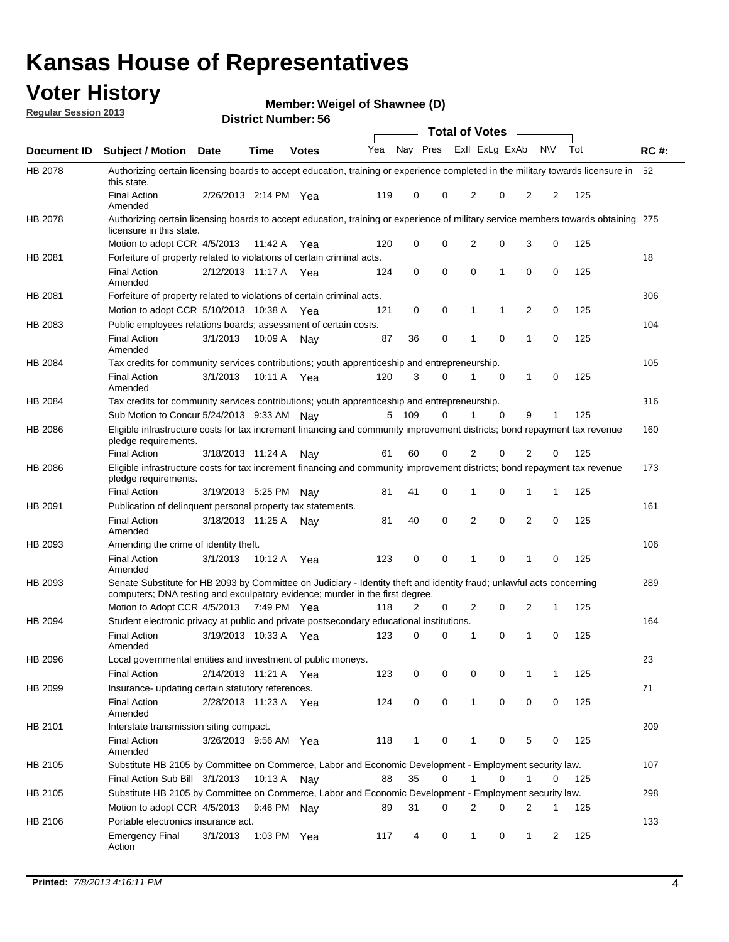### **Voter History**

**Member: Weigel of Shawnee (D)** 

**Regular Session 2013**

|             |                                                                                                                                                                                                       |                       |             |              |     |                         |          | <b>Total of Votes</b> |             | $\sim$         |           |     |             |
|-------------|-------------------------------------------------------------------------------------------------------------------------------------------------------------------------------------------------------|-----------------------|-------------|--------------|-----|-------------------------|----------|-----------------------|-------------|----------------|-----------|-----|-------------|
| Document ID | Subject / Motion Date                                                                                                                                                                                 |                       | <b>Time</b> | <b>Votes</b> | Yea | Nay Pres Exll ExLg ExAb |          |                       |             |                | <b>NV</b> | Tot | <b>RC#:</b> |
| HB 2078     | Authorizing certain licensing boards to accept education, training or experience completed in the military towards licensure in<br>this state.                                                        |                       |             |              |     |                         |          |                       |             |                |           |     | 52          |
|             | <b>Final Action</b><br>Amended                                                                                                                                                                        | 2/26/2013 2:14 PM Yea |             |              | 119 | 0                       | 0        | 2                     | 0           | 2              | 2         | 125 |             |
| HB 2078     | Authorizing certain licensing boards to accept education, training or experience of military service members towards obtaining 275<br>licensure in this state.                                        |                       |             |              |     |                         |          |                       |             |                |           |     |             |
|             | Motion to adopt CCR 4/5/2013                                                                                                                                                                          |                       | 11:42 A     | Yea          | 120 | 0                       | 0        | 2                     | 0           | 3              | 0         | 125 |             |
| HB 2081     | Forfeiture of property related to violations of certain criminal acts.                                                                                                                                |                       |             |              |     |                         |          |                       |             |                |           |     | 18          |
|             | <b>Final Action</b><br>Amended                                                                                                                                                                        | 2/12/2013 11:17 A Yea |             |              | 124 | 0                       | 0        | 0                     | 1           | 0              | 0         | 125 |             |
| HB 2081     | Forfeiture of property related to violations of certain criminal acts.                                                                                                                                |                       |             |              |     |                         |          |                       |             |                |           |     | 306         |
|             | Motion to adopt CCR 5/10/2013 10:38 A                                                                                                                                                                 |                       |             | Yea          | 121 | 0                       | 0        | 1                     | 1           | $\overline{2}$ | 0         | 125 |             |
| HB 2083     | Public employees relations boards; assessment of certain costs.                                                                                                                                       |                       |             |              |     |                         |          |                       |             |                |           |     | 104         |
|             | <b>Final Action</b><br>Amended                                                                                                                                                                        | 3/1/2013              | 10:09 A     | Nay          | 87  | 36                      | 0        | 1                     | 0           | 1              | 0         | 125 |             |
| HB 2084     | Tax credits for community services contributions; youth apprenticeship and entrepreneurship.                                                                                                          |                       |             |              |     |                         |          |                       |             |                |           |     | 105         |
|             | <b>Final Action</b><br>Amended                                                                                                                                                                        | 3/1/2013              | 10:11 A     | Yea          | 120 | 3                       | $\Omega$ | 1                     | 0           | 1              | 0         | 125 |             |
| HB 2084     | Tax credits for community services contributions; youth apprenticeship and entrepreneurship.                                                                                                          |                       |             |              |     |                         |          |                       |             |                |           |     | 316         |
|             | Sub Motion to Concur 5/24/2013 9:33 AM Nay                                                                                                                                                            |                       |             |              |     | 5 109                   | 0        | 1                     | $\mathbf 0$ | 9              | 1         | 125 |             |
| HB 2086     | Eligible infrastructure costs for tax increment financing and community improvement districts; bond repayment tax revenue<br>pledge requirements.                                                     |                       |             |              |     |                         |          |                       |             |                |           |     | 160         |
|             | <b>Final Action</b>                                                                                                                                                                                   | 3/18/2013 11:24 A     |             | Nav          | 61  | 60                      | 0        | 2                     | 0           | 2              | 0         | 125 |             |
| HB 2086     | Eligible infrastructure costs for tax increment financing and community improvement districts; bond repayment tax revenue<br>pledge requirements.                                                     |                       |             |              |     |                         |          |                       |             |                |           |     | 173         |
|             | <b>Final Action</b>                                                                                                                                                                                   | 3/19/2013 5:25 PM     |             | Nav          | 81  | 41                      | 0        | 1                     | 0           | 1              | 1         | 125 |             |
| HB 2091     | Publication of delinquent personal property tax statements.                                                                                                                                           |                       |             |              |     |                         |          |                       |             |                |           |     | 161         |
|             | <b>Final Action</b><br>Amended                                                                                                                                                                        | 3/18/2013 11:25 A     |             | Nav          | 81  | 40                      | $\Omega$ | 2                     | 0           | 2              | 0         | 125 |             |
| HB 2093     | Amending the crime of identity theft.                                                                                                                                                                 |                       |             |              |     |                         |          |                       |             |                |           |     | 106         |
|             | <b>Final Action</b><br>Amended                                                                                                                                                                        | 3/1/2013              | 10:12 A Yea |              | 123 | 0                       | 0        | 1                     | 0           | 1              | 0         | 125 |             |
| HB 2093     | Senate Substitute for HB 2093 by Committee on Judiciary - Identity theft and identity fraud; unlawful acts concerning<br>computers; DNA testing and exculpatory evidence; murder in the first degree. |                       |             |              |     |                         |          |                       |             |                |           |     | 289         |
|             | Motion to Adopt CCR 4/5/2013 7:49 PM Yea                                                                                                                                                              |                       |             |              | 118 | 2                       | 0        | 2                     | 0           | 2              | 1         | 125 |             |
| HB 2094     | Student electronic privacy at public and private postsecondary educational institutions.                                                                                                              |                       |             |              |     |                         |          |                       |             |                |           |     | 164         |
|             | <b>Final Action</b><br>Amended                                                                                                                                                                        | 3/19/2013 10:33 A     |             | Yea          | 123 | 0                       | 0        |                       | 0           | 1              | 0         | 125 |             |
| HB 2096     | Local governmental entities and investment of public moneys.                                                                                                                                          |                       |             |              |     |                         |          |                       |             |                |           |     | 23          |
|             | <b>Final Action</b>                                                                                                                                                                                   | 2/14/2013 11:21 A     |             | Yea          | 123 | 0                       | 0        | 0                     | 0           | 1              | 1         | 125 |             |
| HB 2099     | Insurance- updating certain statutory references.                                                                                                                                                     |                       |             |              |     |                         |          |                       |             |                |           |     | 71          |
|             | Final Action<br>Amended                                                                                                                                                                               | 2/28/2013 11:23 A Yea |             |              | 124 | 0                       | 0        | 1                     | 0           | 0              | 0         | 125 |             |
| HB 2101     | Interstate transmission siting compact.                                                                                                                                                               |                       |             |              |     |                         |          |                       |             |                |           |     | 209         |
|             | <b>Final Action</b><br>Amended                                                                                                                                                                        | 3/26/2013 9:56 AM Yea |             |              | 118 | 1                       | 0        | 1                     | 0           | 5              | 0         | 125 |             |
| HB 2105     | Substitute HB 2105 by Committee on Commerce, Labor and Economic Development - Employment security law.                                                                                                |                       |             |              |     |                         |          |                       |             |                |           |     | 107         |
|             | Final Action Sub Bill 3/1/2013                                                                                                                                                                        |                       | 10:13 A Nay |              | 88  | 35                      | 0        |                       | 0           | 1              | 0         | 125 |             |
| HB 2105     | Substitute HB 2105 by Committee on Commerce, Labor and Economic Development - Employment security law.                                                                                                |                       |             |              |     |                         |          |                       |             |                |           |     | 298         |
|             | Motion to adopt CCR 4/5/2013                                                                                                                                                                          |                       | 9:46 PM Nay |              | 89  | 31                      | 0        | 2                     | 0           | 2              | 1         | 125 |             |
| HB 2106     | Portable electronics insurance act.                                                                                                                                                                   |                       |             |              |     |                         |          |                       |             |                |           |     | 133         |
|             | <b>Emergency Final</b><br>Action                                                                                                                                                                      | 3/1/2013              | 1:03 PM Yea |              | 117 | 4                       | 0        | $\mathbf{1}$          | 0           | $\mathbf{1}$   | 2         | 125 |             |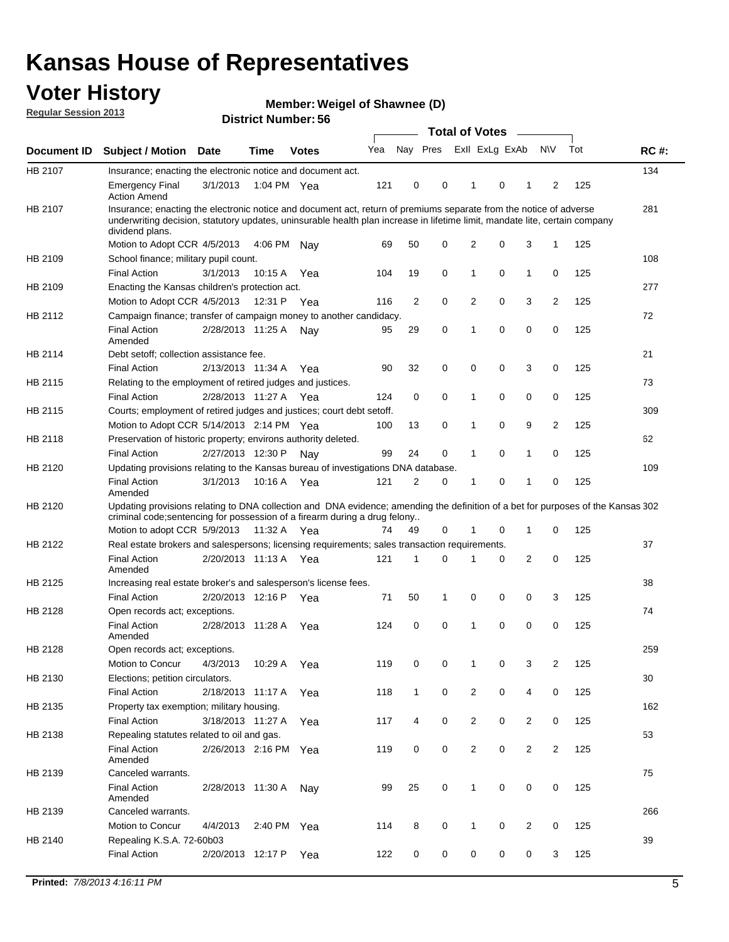### **Voter History**

**Member: Weigel of Shawnee (D)** 

**Regular Session 2013**

|             |                                                                                                                                                                                                                                                                      |                       |             |              |     |              |                         | <b>Total of Votes</b> |   | $\sim$         |                |     |             |
|-------------|----------------------------------------------------------------------------------------------------------------------------------------------------------------------------------------------------------------------------------------------------------------------|-----------------------|-------------|--------------|-----|--------------|-------------------------|-----------------------|---|----------------|----------------|-----|-------------|
| Document ID | <b>Subject / Motion</b>                                                                                                                                                                                                                                              | Date                  | <b>Time</b> | <b>Votes</b> | Yea |              | Nay Pres Exll ExLg ExAb |                       |   |                | <b>NV</b>      | Tot | <b>RC#:</b> |
| HB 2107     | Insurance; enacting the electronic notice and document act.                                                                                                                                                                                                          |                       |             |              |     |              |                         |                       |   |                |                |     | 134         |
|             | <b>Emergency Final</b><br><b>Action Amend</b>                                                                                                                                                                                                                        | 3/1/2013              | 1:04 PM Yea |              | 121 | 0            | 0                       | 1                     | 0 | 1              | 2              | 125 |             |
| HB 2107     | Insurance; enacting the electronic notice and document act, return of premiums separate from the notice of adverse<br>underwriting decision, statutory updates, uninsurable health plan increase in lifetime limit, mandate lite, certain company<br>dividend plans. |                       |             |              |     |              |                         |                       |   |                |                |     | 281         |
|             | Motion to Adopt CCR 4/5/2013                                                                                                                                                                                                                                         |                       | 4:06 PM     | Nav          | 69  | 50           | 0                       | $\overline{2}$        | 0 | 3              | 1              | 125 |             |
| HB 2109     | School finance; military pupil count.                                                                                                                                                                                                                                |                       |             |              |     |              |                         |                       |   |                |                |     | 108         |
|             | <b>Final Action</b>                                                                                                                                                                                                                                                  | 3/1/2013              | 10:15 A     | Yea          | 104 | 19           | 0                       | 1                     | 0 | $\mathbf{1}$   | 0              | 125 |             |
| HB 2109     | Enacting the Kansas children's protection act.                                                                                                                                                                                                                       |                       |             |              |     |              |                         |                       |   |                |                |     | 277         |
|             | Motion to Adopt CCR 4/5/2013                                                                                                                                                                                                                                         |                       | 12:31 P Yea |              | 116 | 2            | 0                       | 2                     | 0 | 3              | $\overline{2}$ | 125 |             |
| HB 2112     | Campaign finance; transfer of campaign money to another candidacy.                                                                                                                                                                                                   |                       |             |              |     |              |                         |                       |   |                |                |     | 72          |
|             | <b>Final Action</b><br>Amended                                                                                                                                                                                                                                       | 2/28/2013 11:25 A     |             | Nav          | 95  | 29           | 0                       | 1                     | 0 | 0              | 0              | 125 |             |
| HB 2114     | Debt setoff; collection assistance fee.                                                                                                                                                                                                                              |                       |             |              |     |              |                         |                       |   |                |                |     | 21          |
|             | <b>Final Action</b>                                                                                                                                                                                                                                                  | 2/13/2013 11:34 A     |             | Yea          | 90  | 32           | 0                       | 0                     | 0 | 3              | 0              | 125 |             |
| HB 2115     | Relating to the employment of retired judges and justices.                                                                                                                                                                                                           |                       |             |              |     |              |                         |                       |   |                |                |     | 73          |
|             | <b>Final Action</b>                                                                                                                                                                                                                                                  | 2/28/2013 11:27 A     |             | Yea          | 124 | 0            | 0                       | 1                     | 0 | 0              | 0              | 125 |             |
| HB 2115     | Courts; employment of retired judges and justices; court debt setoff.                                                                                                                                                                                                |                       |             |              |     |              |                         |                       |   |                |                |     | 309         |
|             | Motion to Adopt CCR 5/14/2013 2:14 PM Yea                                                                                                                                                                                                                            |                       |             |              | 100 | 13           | 0                       | 1                     | 0 | 9              | 2              | 125 |             |
| HB 2118     | Preservation of historic property; environs authority deleted.                                                                                                                                                                                                       |                       |             |              |     |              |                         |                       |   |                |                |     | 62          |
|             | <b>Final Action</b>                                                                                                                                                                                                                                                  | 2/27/2013 12:30 P     |             | Nay          | 99  | 24           | 0                       |                       | 0 | 1              | 0              | 125 |             |
| HB 2120     | Updating provisions relating to the Kansas bureau of investigations DNA database.                                                                                                                                                                                    |                       |             |              |     |              |                         |                       |   |                |                |     | 109         |
|             | <b>Final Action</b><br>Amended                                                                                                                                                                                                                                       | 3/1/2013              | 10:16 A     | Yea          | 121 | 2            | 0                       | 1                     | 0 | 1              | 0              | 125 |             |
| HB 2120     | Updating provisions relating to DNA collection and DNA evidence; amending the definition of a bet for purposes of the Kansas 302<br>criminal code; sentencing for possession of a firearm during a drug felony                                                       |                       |             |              |     |              |                         |                       |   |                |                |     |             |
|             | Motion to adopt CCR 5/9/2013                                                                                                                                                                                                                                         |                       | 11:32 A Yea |              | 74  | 49           | 0                       |                       | 0 | 1              | 0              | 125 |             |
| HB 2122     | Real estate brokers and salespersons; licensing requirements; sales transaction requirements.                                                                                                                                                                        |                       |             |              |     |              |                         |                       |   |                |                |     | 37          |
|             | <b>Final Action</b>                                                                                                                                                                                                                                                  | 2/20/2013 11:13 A Yea |             |              | 121 | 1            | 0                       |                       | 0 | $\overline{2}$ | 0              | 125 |             |
| HB 2125     | Amended<br>Increasing real estate broker's and salesperson's license fees.                                                                                                                                                                                           |                       |             |              |     |              |                         |                       |   |                |                |     | 38          |
|             | <b>Final Action</b>                                                                                                                                                                                                                                                  | 2/20/2013 12:16 P     |             |              | 71  | 50           | 1                       | 0                     | 0 | 0              | 3              | 125 |             |
|             |                                                                                                                                                                                                                                                                      |                       |             | Yea          |     |              |                         |                       |   |                |                |     |             |
| HB 2128     | Open records act; exceptions.<br><b>Final Action</b><br>Amended                                                                                                                                                                                                      | 2/28/2013 11:28 A     |             | Yea          | 124 | 0            | 0                       | 1                     | 0 | 0              | 0              | 125 | 74          |
| HB 2128     | Open records act; exceptions.                                                                                                                                                                                                                                        |                       |             |              |     |              |                         |                       |   |                |                |     | 259         |
|             | Motion to Concur                                                                                                                                                                                                                                                     | 4/3/2013              | 10:29 A     | Yea          | 119 | 0            | 0                       |                       | 0 | 3              | $\overline{2}$ | 125 |             |
| HB 2130     | Elections; petition circulators.                                                                                                                                                                                                                                     |                       |             |              |     |              |                         |                       |   |                |                |     | 30          |
|             | <b>Final Action</b>                                                                                                                                                                                                                                                  | 2/18/2013 11:17 A     |             | Yea          | 118 | $\mathbf{1}$ | 0                       | $\overline{2}$        | 0 | 4              | 0              | 125 |             |
| HB 2135     | Property tax exemption; military housing.                                                                                                                                                                                                                            |                       |             |              |     |              |                         |                       |   |                |                |     | 162         |
|             | <b>Final Action</b>                                                                                                                                                                                                                                                  | 3/18/2013 11:27 A     |             | Yea          | 117 | 4            | 0                       | $\overline{c}$        | 0 | $\overline{2}$ | 0              | 125 |             |
| HB 2138     | Repealing statutes related to oil and gas.                                                                                                                                                                                                                           |                       |             |              |     |              |                         |                       |   |                |                |     | 53          |
|             | <b>Final Action</b><br>Amended                                                                                                                                                                                                                                       | 2/26/2013 2:16 PM Yea |             |              | 119 | 0            | 0                       | $\overline{2}$        | 0 | $\overline{2}$ | 2              | 125 |             |
| HB 2139     | Canceled warrants.                                                                                                                                                                                                                                                   |                       |             |              |     |              |                         |                       |   |                |                |     | 75          |
|             | <b>Final Action</b><br>Amended                                                                                                                                                                                                                                       | 2/28/2013 11:30 A     |             | Nay          | 99  | 25           | 0                       | $\mathbf{1}$          | 0 | 0              | 0              | 125 |             |
| HB 2139     | Canceled warrants.                                                                                                                                                                                                                                                   |                       |             |              |     |              |                         |                       |   |                |                |     | 266         |
|             | Motion to Concur                                                                                                                                                                                                                                                     | 4/4/2013              | 2:40 PM Yea |              | 114 | 8            | 0                       | 1                     | 0 | 2              | 0              | 125 |             |
| HB 2140     | Repealing K.S.A. 72-60b03                                                                                                                                                                                                                                            |                       |             |              |     |              |                         |                       |   |                |                |     | 39          |
|             | <b>Final Action</b>                                                                                                                                                                                                                                                  | 2/20/2013 12:17 P     |             | Yea          | 122 | 0            | 0                       | 0                     | 0 | 0              | 3              | 125 |             |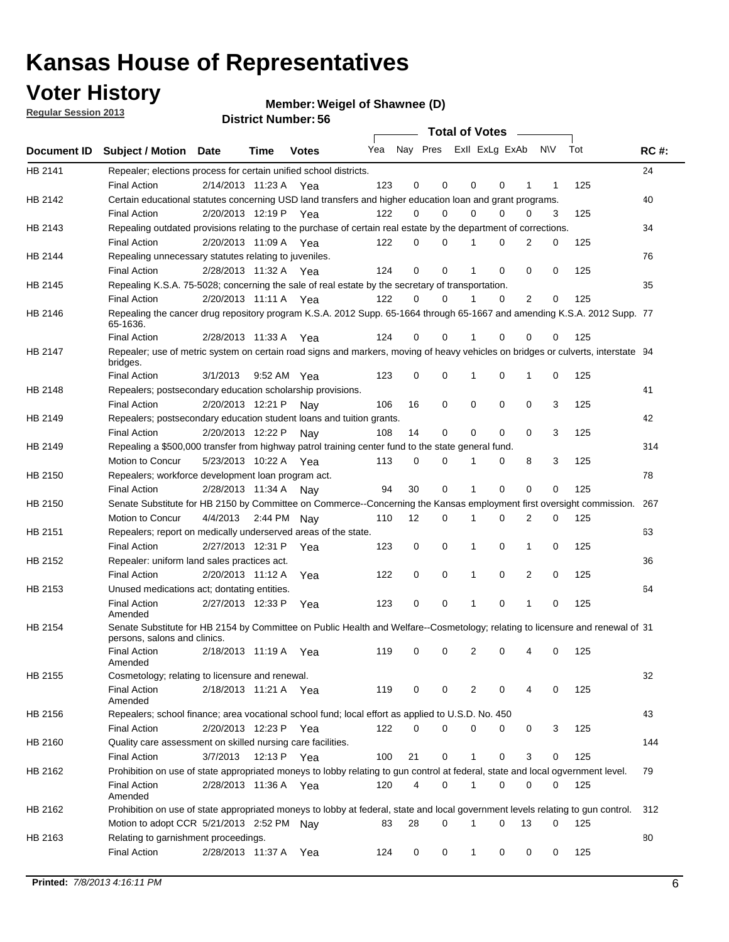### **Voter History**

**Member: Weigel of Shawnee (D)** 

**Regular Session 2013**

|         |                                                                                                                                              |                   |                       |              |                             |    | <b>Total of Votes</b> |              |          | $\sim$      |     |     |             |
|---------|----------------------------------------------------------------------------------------------------------------------------------------------|-------------------|-----------------------|--------------|-----------------------------|----|-----------------------|--------------|----------|-------------|-----|-----|-------------|
|         | Document ID Subject / Motion Date                                                                                                            |                   | Time                  | <b>Votes</b> | Yea Nay Pres ExII ExLg ExAb |    |                       |              |          |             | N\V | Tot | <b>RC#:</b> |
| HB 2141 | Repealer; elections process for certain unified school districts.                                                                            |                   |                       |              |                             |    |                       |              |          |             |     |     | 24          |
|         | <b>Final Action</b>                                                                                                                          | 2/14/2013 11:23 A |                       | Yea          | 123                         | 0  | 0                     | 0            | 0        | 1           | 1   | 125 |             |
| HB 2142 | Certain educational statutes concerning USD land transfers and higher education loan and grant programs.                                     |                   |                       |              |                             |    |                       |              |          |             |     |     | 40          |
|         | <b>Final Action</b>                                                                                                                          | 2/20/2013 12:19 P |                       | Yea          | 122                         | 0  | 0                     | 0            | 0        | 0           | 3   | 125 |             |
| HB 2143 | Repealing outdated provisions relating to the purchase of certain real estate by the department of corrections.                              |                   |                       |              |                             |    |                       |              |          |             |     |     | 34          |
|         | <b>Final Action</b>                                                                                                                          |                   | 2/20/2013 11:09 A Yea |              | 122                         | 0  | 0                     |              | 0        | 2           | 0   | 125 |             |
| HB 2144 | Repealing unnecessary statutes relating to juveniles.                                                                                        |                   |                       |              |                             |    |                       |              |          |             |     |     | 76          |
|         | <b>Final Action</b>                                                                                                                          |                   | 2/28/2013 11:32 A Yea |              | 124                         | 0  | 0                     |              | 0        | 0           | 0   | 125 |             |
| HB 2145 | Repealing K.S.A. 75-5028; concerning the sale of real estate by the secretary of transportation.                                             |                   |                       |              |                             |    |                       |              |          |             |     |     | 35          |
|         | <b>Final Action</b>                                                                                                                          |                   | 2/20/2013 11:11 A Yea |              | 122                         | 0  | 0                     |              | 0        | 2           | 0   | 125 |             |
| HB 2146 | Repealing the cancer drug repository program K.S.A. 2012 Supp. 65-1664 through 65-1667 and amending K.S.A. 2012 Supp. 77<br>65-1636.         |                   |                       |              |                             |    |                       |              |          |             |     |     |             |
|         | <b>Final Action</b>                                                                                                                          |                   | 2/28/2013 11:33 A     | Yea          | 124                         | 0  | 0                     |              | 0        | 0           | 0   | 125 |             |
| HB 2147 | Repealer; use of metric system on certain road signs and markers, moving of heavy vehicles on bridges or culverts, interstate 94<br>bridges. |                   |                       |              |                             |    |                       |              |          |             |     |     |             |
|         | <b>Final Action</b>                                                                                                                          | 3/1/2013          |                       | 9:52 AM Yea  | 123                         | 0  | 0                     | 1            | 0        | 1           | 0   | 125 |             |
| HB 2148 | Repealers; postsecondary education scholarship provisions.                                                                                   |                   |                       |              |                             |    |                       |              |          |             |     |     | 41          |
|         | <b>Final Action</b>                                                                                                                          | 2/20/2013 12:21 P |                       | Nav          | 106                         | 16 | 0                     | 0            | 0        | 0           | 3   | 125 |             |
| HB 2149 | Repealers; postsecondary education student loans and tuition grants.                                                                         |                   |                       |              |                             |    |                       |              |          |             |     |     | 42          |
|         | <b>Final Action</b>                                                                                                                          |                   | 2/20/2013 12:22 P     | Nav          | 108                         | 14 | 0                     | 0            | 0        | $\Omega$    | 3   | 125 |             |
| HB 2149 | Repealing a \$500,000 transfer from highway patrol training center fund to the state general fund.                                           |                   |                       |              |                             |    |                       |              |          |             |     |     | 314         |
|         | Motion to Concur                                                                                                                             |                   | 5/23/2013 10:22 A Yea |              | 113                         | 0  | 0                     |              | 0        | 8           | 3   | 125 |             |
| HB 2150 | Repealers; workforce development loan program act.                                                                                           |                   |                       |              |                             |    |                       |              |          |             |     |     | 78          |
|         | <b>Final Action</b>                                                                                                                          |                   | 2/28/2013 11:34 A     | Nav          | 94                          | 30 | 0                     | 1            | 0        | $\mathbf 0$ | 0   | 125 |             |
| HB 2150 | Senate Substitute for HB 2150 by Committee on Commerce--Concerning the Kansas employment first oversight commission.                         |                   |                       |              |                             |    |                       |              |          |             |     |     | 267         |
|         | Motion to Concur                                                                                                                             | 4/4/2013          |                       | 2:44 PM Nay  | 110                         | 12 | 0                     | 1            | 0        | 2           | 0   | 125 |             |
| HB 2151 | Repealers; report on medically underserved areas of the state.                                                                               |                   |                       |              |                             |    |                       |              |          |             |     |     | 63          |
|         | <b>Final Action</b>                                                                                                                          |                   | 2/27/2013 12:31 P     | Yea          | 123                         | 0  | 0                     | 1            | 0        | 1           | 0   | 125 |             |
| HB 2152 | Repealer: uniform land sales practices act.                                                                                                  |                   |                       |              |                             |    |                       |              |          |             |     |     | 36          |
|         | <b>Final Action</b>                                                                                                                          |                   | 2/20/2013 11:12 A     | Yea          | 122                         | 0  | 0                     | 1            | 0        | 2           | 0   | 125 |             |
| HB 2153 | Unused medications act; dontating entities.                                                                                                  |                   |                       |              |                             |    |                       |              |          |             |     |     | 64          |
|         | <b>Final Action</b><br>Amended                                                                                                               | 2/27/2013 12:33 P |                       | Yea          | 123                         | 0  | 0                     |              | 0        | 1           | 0   | 125 |             |
| HB 2154 | Senate Substitute for HB 2154 by Committee on Public Health and Welfare--Cosmetology; relating to licensure and renewal of 31                |                   |                       |              |                             |    |                       |              |          |             |     |     |             |
|         | persons, salons and clinics.                                                                                                                 |                   |                       |              |                             |    |                       |              |          |             |     |     |             |
|         | <b>Final Action</b><br>Amended                                                                                                               |                   | 2/18/2013 11:19 A     | Yea          | 119                         | 0  | 0                     | 2            | 0        | 4           | 0   | 125 |             |
| HB 2155 | Cosmetology; relating to licensure and renewal.                                                                                              |                   |                       |              |                             |    |                       |              |          |             |     |     | 32          |
|         | <b>Final Action</b><br>Amended                                                                                                               |                   | 2/18/2013 11:21 A Yea |              | 119                         | 0  | 0                     | 2            | 0        | 4           | 0   | 125 |             |
| HB 2156 | Repealers; school finance; area vocational school fund; local effort as applied to U.S.D. No. 450                                            |                   |                       |              |                             |    |                       |              |          |             |     |     | 43          |
|         | <b>Final Action</b>                                                                                                                          | 2/20/2013 12:23 P |                       | Yea          | 122                         | 0  | 0                     | 0            | 0        | 0           | 3   | 125 |             |
| HB 2160 | Quality care assessment on skilled nursing care facilities.                                                                                  |                   |                       |              |                             |    |                       |              |          |             |     |     | 144         |
|         | <b>Final Action</b>                                                                                                                          | 3/7/2013          | 12:13 P               | Yea          | 100                         | 21 | 0                     | $\mathbf{1}$ | 0        | 3           | 0   | 125 |             |
| HB 2162 | Prohibition on use of state appropriated moneys to lobby relating to gun control at federal, state and local ogvernment level.               |                   |                       |              |                             |    |                       |              |          |             |     |     | 79          |
|         | <b>Final Action</b><br>Amended                                                                                                               |                   | 2/28/2013 11:36 A Yea |              | 120                         | 4  | 0                     | 1            | 0        | 0           | 0   | 125 |             |
| HB 2162 | Prohibition on use of state appropriated moneys to lobby at federal, state and local government levels relating to gun control.              |                   |                       |              |                             |    |                       |              |          |             |     |     | 312         |
|         | Motion to adopt CCR 5/21/2013 2:52 PM Nay                                                                                                    |                   |                       |              | 83                          | 28 | 0                     | 1            | $\Omega$ | 13          | 0   | 125 |             |
| HB 2163 | Relating to garnishment proceedings.                                                                                                         |                   |                       |              |                             |    |                       |              |          |             |     |     | 80          |
|         | <b>Final Action</b>                                                                                                                          |                   | 2/28/2013 11:37 A Yea |              | 124                         | 0  | 0                     | $\mathbf{1}$ | 0        | 0           | 0   | 125 |             |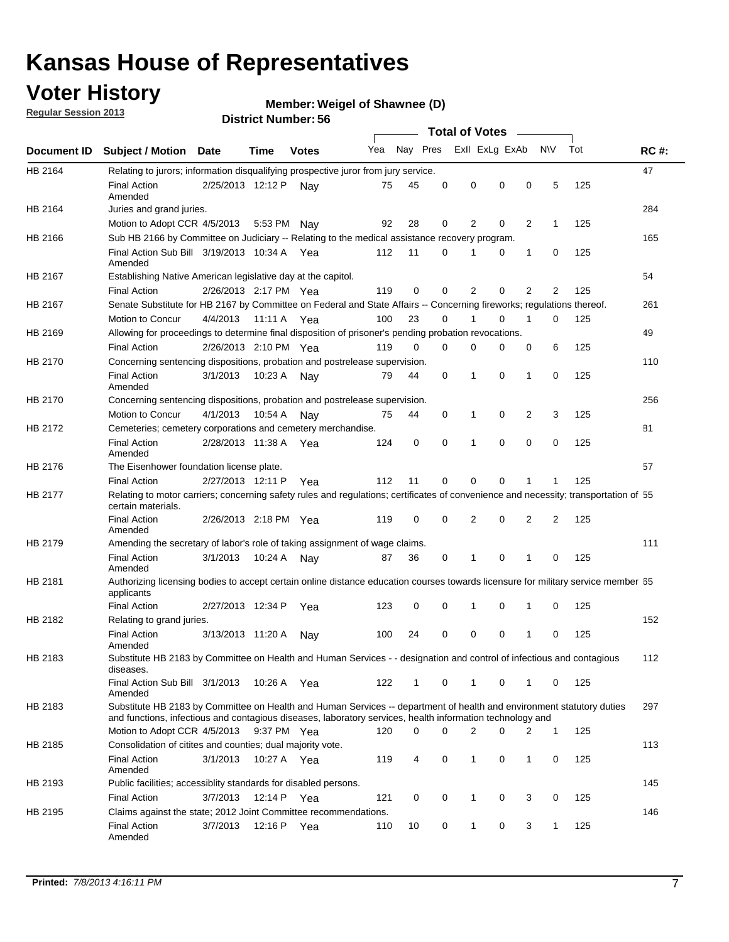### **Voter History**

**Member: Weigel of Shawnee (D)** 

**Regular Session 2013**

|             |                                                                                                                                                                                                                                    |                       | טט. וסמוווטנו ועוווסו |              |     |          |          | <b>Total of Votes</b> |   | $\overline{\phantom{a}}$ |                |     |             |
|-------------|------------------------------------------------------------------------------------------------------------------------------------------------------------------------------------------------------------------------------------|-----------------------|-----------------------|--------------|-----|----------|----------|-----------------------|---|--------------------------|----------------|-----|-------------|
| Document ID | <b>Subject / Motion Date</b>                                                                                                                                                                                                       |                       | Time                  | <b>Votes</b> | Yea | Nay Pres |          | Exll ExLg ExAb        |   |                          | <b>NV</b>      | Tot | <b>RC#:</b> |
| HB 2164     | Relating to jurors; information disqualifying prospective juror from jury service.                                                                                                                                                 |                       |                       |              |     |          |          |                       |   |                          |                |     | 47          |
|             | <b>Final Action</b><br>Amended                                                                                                                                                                                                     | 2/25/2013 12:12 P     |                       | Nav          | 75  | 45       | 0        | 0                     | 0 | 0                        | 5              | 125 |             |
| HB 2164     | Juries and grand juries.                                                                                                                                                                                                           |                       |                       |              |     |          |          |                       |   |                          |                |     | 284         |
|             | Motion to Adopt CCR 4/5/2013                                                                                                                                                                                                       |                       | 5:53 PM               | Nav          | 92  | 28       | 0        | 2                     | 0 | $\overline{2}$           | $\mathbf{1}$   | 125 |             |
| HB 2166     | Sub HB 2166 by Committee on Judiciary -- Relating to the medical assistance recovery program.                                                                                                                                      |                       |                       |              |     |          |          |                       |   |                          |                |     | 165         |
|             | Final Action Sub Bill 3/19/2013 10:34 A Yea<br>Amended                                                                                                                                                                             |                       |                       |              | 112 | 11       | $\Omega$ |                       | 0 | 1                        | 0              | 125 |             |
| HB 2167     | Establishing Native American legislative day at the capitol.                                                                                                                                                                       |                       |                       |              |     |          |          |                       |   |                          |                |     | 54          |
|             | <b>Final Action</b>                                                                                                                                                                                                                | 2/26/2013 2:17 PM Yea |                       |              | 119 | 0        | $\Omega$ | 2                     | 0 | $\overline{2}$           | 2              | 125 |             |
| HB 2167     | Senate Substitute for HB 2167 by Committee on Federal and State Affairs -- Concerning fireworks; regulations thereof.                                                                                                              |                       |                       |              |     |          |          |                       |   |                          |                |     | 261         |
|             | Motion to Concur                                                                                                                                                                                                                   | 4/4/2013              | 11:11 A Yea           |              | 100 | 23       | 0        | 1                     | 0 | 1                        | 0              | 125 |             |
| HB 2169     | Allowing for proceedings to determine final disposition of prisoner's pending probation revocations.                                                                                                                               |                       |                       |              |     |          |          |                       |   |                          |                |     | 49          |
|             | <b>Final Action</b>                                                                                                                                                                                                                | 2/26/2013 2:10 PM Yea |                       |              | 119 | 0        | 0        | 0                     | 0 | 0                        | 6              | 125 |             |
| HB 2170     | Concerning sentencing dispositions, probation and postrelease supervision.                                                                                                                                                         |                       |                       |              |     |          |          |                       |   |                          |                |     | 110         |
|             | <b>Final Action</b><br>Amended                                                                                                                                                                                                     | 3/1/2013              | 10:23 A               | Nay          | 79  | 44       | 0        | 1                     | 0 | 1                        | 0              | 125 |             |
| HB 2170     | Concerning sentencing dispositions, probation and postrelease supervision.                                                                                                                                                         |                       |                       |              |     |          |          |                       |   |                          |                |     | 256         |
|             | Motion to Concur                                                                                                                                                                                                                   | 4/1/2013              | 10:54 A               | Nay          | 75  | 44       | 0        | 1                     | 0 | $\overline{2}$           | 3              | 125 |             |
| HB 2172     | Cemeteries; cemetery corporations and cemetery merchandise.                                                                                                                                                                        |                       |                       |              |     |          |          |                       |   |                          |                |     | 81          |
|             | <b>Final Action</b><br>Amended                                                                                                                                                                                                     | 2/28/2013 11:38 A Yea |                       |              | 124 | 0        | 0        | 1                     | 0 | $\Omega$                 | 0              | 125 |             |
| HB 2176     | The Eisenhower foundation license plate.                                                                                                                                                                                           |                       |                       |              |     |          |          |                       |   |                          |                |     | 57          |
|             | <b>Final Action</b>                                                                                                                                                                                                                | 2/27/2013 12:11 P     |                       | Yea          | 112 | 11       | $\Omega$ | 0                     | 0 | 1                        | 1              | 125 |             |
| HB 2177     | Relating to motor carriers; concerning safety rules and regulations; certificates of convenience and necessity; transportation of 55<br>certain materials.                                                                         |                       |                       |              |     |          |          |                       |   |                          |                |     |             |
|             | <b>Final Action</b><br>Amended                                                                                                                                                                                                     | 2/26/2013 2:18 PM Yea |                       |              | 119 | 0        | $\Omega$ | 2                     | 0 | $\overline{2}$           | $\overline{2}$ | 125 |             |
| HB 2179     | Amending the secretary of labor's role of taking assignment of wage claims.                                                                                                                                                        |                       |                       |              |     |          |          |                       |   |                          |                |     | 111         |
|             | <b>Final Action</b><br>Amended                                                                                                                                                                                                     | 3/1/2013              | 10:24 A               | Nav          | 87  | 36       | 0        | 1                     | 0 | 1                        | 0              | 125 |             |
| HB 2181     | Authorizing licensing bodies to accept certain online distance education courses towards licensure for military service member 55<br>applicants                                                                                    |                       |                       |              |     |          |          |                       |   |                          |                |     |             |
|             | <b>Final Action</b>                                                                                                                                                                                                                | 2/27/2013 12:34 P     |                       | Yea          | 123 | 0        | 0        |                       | 0 | 1                        | 0              | 125 |             |
| HB 2182     | Relating to grand juries.                                                                                                                                                                                                          |                       |                       |              |     |          |          |                       |   |                          |                |     | 152         |
|             | <b>Final Action</b><br>Amended                                                                                                                                                                                                     | 3/13/2013 11:20 A     |                       | Nav          | 100 | 24       | 0        | 0                     | 0 | 1                        | 0              | 125 |             |
| HB 2183     | Substitute HB 2183 by Committee on Health and Human Services - - designation and control of infectious and contagious<br>diseases.                                                                                                 |                       |                       |              |     |          |          |                       |   |                          |                |     | 112         |
|             | Final Action Sub Bill 3/1/2013<br>Amended                                                                                                                                                                                          |                       | 10:26 A Yea           |              | 122 | 1        | 0        | 1                     | 0 | 1                        | 0              | 125 |             |
| HB 2183     | Substitute HB 2183 by Committee on Health and Human Services -- department of health and environment statutory duties<br>and functions, infectious and contagious diseases, laboratory services, health information technology and |                       |                       |              |     |          |          |                       |   |                          |                |     | 297         |
|             | Motion to Adopt CCR 4/5/2013                                                                                                                                                                                                       |                       | 9:37 PM Yea           |              | 120 | 0        | 0        | 2                     | 0 | 2                        | 1              | 125 |             |
| HB 2185     | Consolidation of citites and counties; dual majority vote.                                                                                                                                                                         |                       |                       |              |     |          |          |                       |   |                          |                |     | 113         |
|             | <b>Final Action</b><br>Amended                                                                                                                                                                                                     | 3/1/2013              | 10:27 A Yea           |              | 119 | 4        | 0        | 1                     | 0 | 1                        | 0              | 125 |             |
| HB 2193     | Public facilities; accessiblity standards for disabled persons.                                                                                                                                                                    |                       |                       |              |     |          |          |                       |   |                          |                |     | 145         |
|             | <b>Final Action</b>                                                                                                                                                                                                                | 3/7/2013              | 12:14 P               | Yea          | 121 | 0        | 0        | 1                     | 0 | 3                        | 0              | 125 |             |
| HB 2195     | Claims against the state; 2012 Joint Committee recommendations.                                                                                                                                                                    |                       |                       |              |     |          |          |                       |   |                          |                |     | 146         |
|             | <b>Final Action</b><br>Amended                                                                                                                                                                                                     | 3/7/2013              | 12:16 P Yea           |              | 110 | 10       | 0        | 1                     | 0 | 3                        | 1              | 125 |             |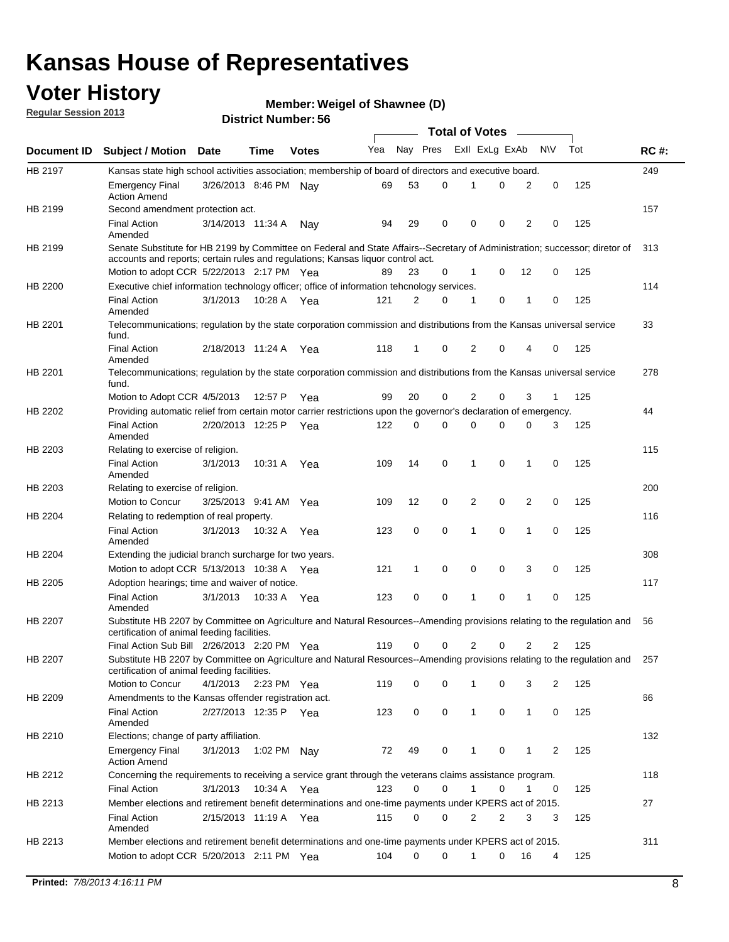### **Voter History**

**Member: Weigel of Shawnee (D)** 

**Regular Session 2013**

|                |                                                                                                                                                                             |                       |             |              |     |             | <b>Total of Votes</b> |                |   |                |              |     |             |
|----------------|-----------------------------------------------------------------------------------------------------------------------------------------------------------------------------|-----------------------|-------------|--------------|-----|-------------|-----------------------|----------------|---|----------------|--------------|-----|-------------|
| Document ID    | <b>Subject / Motion Date</b>                                                                                                                                                |                       | Time        | <b>Votes</b> | Yea | Nay Pres    |                       | Exll ExLg ExAb |   |                | <b>NV</b>    | Tot | <b>RC#:</b> |
| HB 2197        | Kansas state high school activities association; membership of board of directors and executive board.                                                                      |                       |             |              |     |             |                       |                |   |                |              |     | 249         |
|                | <b>Emergency Final</b><br><b>Action Amend</b>                                                                                                                               | 3/26/2013 8:46 PM Nay |             |              | 69  | 53          | 0                     |                | 0 | 2              | 0            | 125 |             |
| HB 2199        | Second amendment protection act.                                                                                                                                            |                       |             |              |     |             |                       |                |   |                |              |     | 157         |
|                | <b>Final Action</b><br>Amended                                                                                                                                              | 3/14/2013 11:34 A     |             | Nav          | 94  | 29          | 0                     | 0              | 0 | 2              | 0            | 125 |             |
| HB 2199        | Senate Substitute for HB 2199 by Committee on Federal and State Affairs--Secretary of Administration; successor; diretor of                                                 |                       |             |              |     |             |                       |                |   |                |              |     | 313         |
|                | accounts and reports; certain rules and regulations; Kansas liguor control act.                                                                                             |                       |             |              |     |             |                       |                |   |                |              |     |             |
|                | Motion to adopt CCR 5/22/2013 2:17 PM Yea                                                                                                                                   |                       |             |              | 89  | 23          | 0                     | 1              | 0 | 12             | 0            | 125 |             |
| HB 2200        | Executive chief information technology officer; office of information tehcnology services.                                                                                  |                       |             |              |     |             |                       |                |   |                |              |     | 114         |
|                | <b>Final Action</b><br>Amended                                                                                                                                              | 3/1/2013              | 10:28 A     | Yea          | 121 | 2           | 0                     | 1              | 0 | 1              | 0            | 125 |             |
| HB 2201        | Telecommunications; regulation by the state corporation commission and distributions from the Kansas universal service<br>fund.                                             |                       |             |              |     |             |                       |                |   |                |              |     | 33          |
|                | <b>Final Action</b><br>Amended                                                                                                                                              | 2/18/2013 11:24 A     |             | Yea          | 118 | 1           | 0                     | 2              | 0 | 4              | 0            | 125 |             |
| HB 2201        | Telecommunications; regulation by the state corporation commission and distributions from the Kansas universal service<br>fund.                                             |                       |             |              |     |             |                       |                |   |                |              |     | 278         |
|                | Motion to Adopt CCR 4/5/2013                                                                                                                                                |                       | 12:57 P     | Yea          | 99  | 20          | 0                     | 2              | 0 | 3              | $\mathbf{1}$ | 125 |             |
| HB 2202        | Providing automatic relief from certain motor carrier restrictions upon the governor's declaration of emergency.                                                            |                       |             |              |     |             |                       |                |   |                |              |     | 44          |
|                | <b>Final Action</b><br>Amended                                                                                                                                              | 2/20/2013 12:25 P     |             | Yea          | 122 | 0           | 0                     | 0              | 0 | 0              | 3            | 125 |             |
| HB 2203        | Relating to exercise of religion.                                                                                                                                           |                       |             |              |     |             |                       |                |   |                |              |     | 115         |
|                | <b>Final Action</b><br>Amended                                                                                                                                              | 3/1/2013              | 10:31 A     | Yea          | 109 | 14          | 0                     | 1              | 0 | 1              | 0            | 125 |             |
| HB 2203        | Relating to exercise of religion.                                                                                                                                           |                       |             |              |     |             |                       |                |   |                |              |     | 200         |
|                | Motion to Concur                                                                                                                                                            | 3/25/2013 9:41 AM     |             | Yea          | 109 | 12          | 0                     | 2              | 0 | 2              | 0            | 125 |             |
| HB 2204        | Relating to redemption of real property.                                                                                                                                    |                       |             |              |     |             |                       |                |   |                |              |     | 116         |
|                | <b>Final Action</b><br>Amended                                                                                                                                              | 3/1/2013              | 10:32 A     | Yea          | 123 | $\mathbf 0$ | 0                     | 1              | 0 | $\mathbf{1}$   | 0            | 125 |             |
| HB 2204        | Extending the judicial branch surcharge for two years.                                                                                                                      |                       |             |              |     |             |                       |                |   |                |              |     | 308         |
|                | Motion to adopt CCR 5/13/2013 10:38 A Yea                                                                                                                                   |                       |             |              | 121 | 1           | 0                     | 0              | 0 | 3              | 0            | 125 |             |
| HB 2205        | Adoption hearings; time and waiver of notice.                                                                                                                               |                       |             |              |     |             |                       |                |   |                |              |     | 117         |
|                | <b>Final Action</b><br>Amended                                                                                                                                              | 3/1/2013              | 10:33 A Yea |              | 123 | 0           | 0                     | 1              | 0 | 1              | 0            | 125 |             |
| HB 2207        | Substitute HB 2207 by Committee on Agriculture and Natural Resources--Amending provisions relating to the regulation and<br>certification of animal feeding facilities.     |                       |             |              |     |             |                       |                |   |                |              |     | 56          |
|                | Final Action Sub Bill 2/26/2013 2:20 PM Yea                                                                                                                                 |                       |             |              | 119 | 0           | 0                     | 2              | 0 | $\overline{2}$ | 2            | 125 |             |
| <b>HB 2207</b> | Substitute HB 2207 by Committee on Agriculture and Natural Resources--Amending provisions relating to the regulation and 257<br>certification of animal feeding facilities. |                       |             |              |     |             |                       |                |   |                |              |     |             |
|                | Motion to Concur                                                                                                                                                            | 4/1/2013              | 2:23 PM Yea |              | 119 | 0           | 0                     | 1              | 0 | 3              | 2            | 125 |             |
| HB 2209        | Amendments to the Kansas offender registration act.                                                                                                                         |                       |             |              |     |             |                       |                |   |                |              |     | 66          |
|                | <b>Final Action</b><br>Amended                                                                                                                                              | 2/27/2013 12:35 P Yea |             |              | 123 | 0           | 0                     | $\mathbf{1}$   | 0 | $\mathbf{1}$   | 0            | 125 |             |
| HB 2210        | Elections; change of party affiliation.                                                                                                                                     |                       |             |              |     |             |                       |                |   |                |              |     | 132         |
|                | <b>Emergency Final</b><br><b>Action Amend</b>                                                                                                                               | 3/1/2013              | 1:02 PM Nay |              | 72  | 49          | 0                     |                | 0 | 1              | 2            | 125 |             |
| HB 2212        | Concerning the requirements to receiving a service grant through the veterans claims assistance program.                                                                    |                       |             |              |     |             |                       |                |   |                |              |     | 118         |
|                | <b>Final Action</b>                                                                                                                                                         | 3/1/2013              | 10:34 A Yea |              | 123 | 0           | 0                     | $\mathbf{1}$   | 0 | 1              | 0            | 125 |             |
| HB 2213        | Member elections and retirement benefit determinations and one-time payments under KPERS act of 2015.                                                                       |                       |             |              |     |             |                       |                |   |                |              |     | 27          |
|                | <b>Final Action</b><br>Amended                                                                                                                                              | 2/15/2013 11:19 A Yea |             |              | 115 | 0           | 0                     | 2              | 2 | 3              | 3            | 125 |             |
| HB 2213        | Member elections and retirement benefit determinations and one-time payments under KPERS act of 2015.                                                                       |                       |             |              |     |             |                       |                |   |                |              |     | 311         |
|                | Motion to adopt CCR 5/20/2013 2:11 PM Yea                                                                                                                                   |                       |             |              | 104 | $\Omega$    | 0                     | 1              | 0 | 16             | 4            | 125 |             |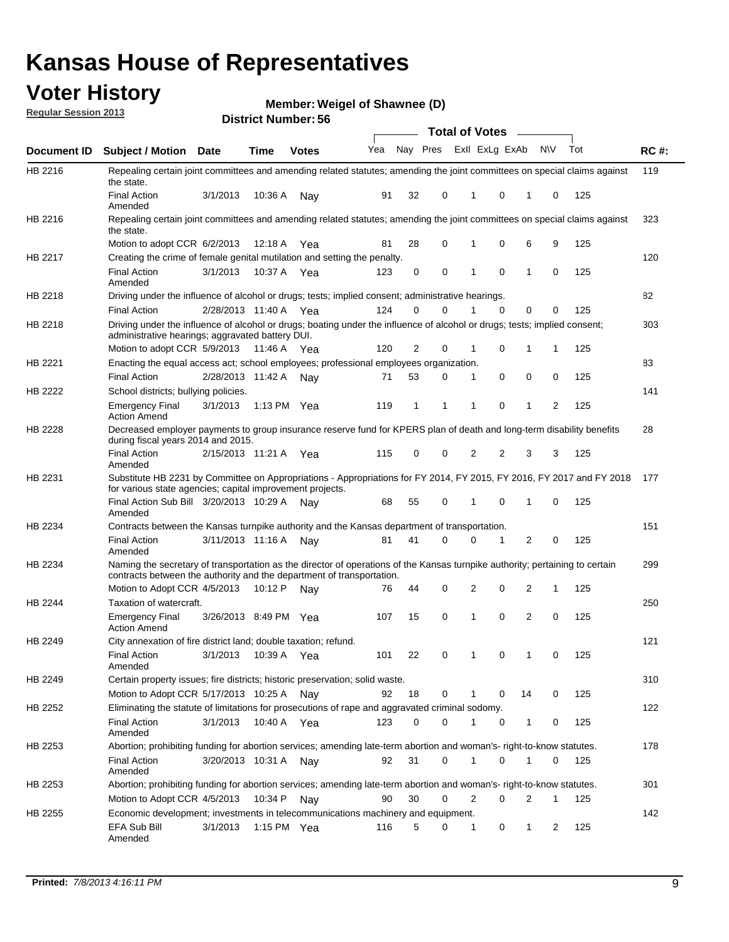### **Voter History**

**Member: Weigel of Shawnee (D)** 

**Regular Session 2013**

|                    |                                                                                                                                                                                                       |                       |         | טט. וסמוווטנו ועוווסו |              |    |   | <b>Total of Votes</b> |          | $\sim$         |           |     |     |
|--------------------|-------------------------------------------------------------------------------------------------------------------------------------------------------------------------------------------------------|-----------------------|---------|-----------------------|--------------|----|---|-----------------------|----------|----------------|-----------|-----|-----|
| <b>Document ID</b> | <b>Subject / Motion Date</b>                                                                                                                                                                          |                       | Time    | <b>Votes</b>          | Yea Nay Pres |    |   | Exll ExLg ExAb        |          |                | <b>NV</b> | Tot | RC# |
| HB 2216            | Repealing certain joint committees and amending related statutes; amending the joint committees on special claims against<br>the state.                                                               |                       |         |                       |              |    |   |                       |          |                |           |     | 119 |
|                    | <b>Final Action</b><br>Amended                                                                                                                                                                        | 3/1/2013              | 10:36 A | Nay                   | 91           | 32 | 0 | 1                     | 0        | 1              | 0         | 125 |     |
| HB 2216            | Repealing certain joint committees and amending related statutes; amending the joint committees on special claims against<br>the state.                                                               |                       |         |                       |              |    |   |                       |          |                |           |     | 323 |
|                    | Motion to adopt CCR 6/2/2013                                                                                                                                                                          |                       | 12:18 A | Yea                   | 81           | 28 | 0 | 1                     | 0        | 6              | 9         | 125 |     |
| HB 2217            | Creating the crime of female genital mutilation and setting the penalty.                                                                                                                              |                       |         |                       |              |    |   |                       |          |                |           |     | 120 |
|                    | <b>Final Action</b><br>Amended                                                                                                                                                                        | 3/1/2013              |         | 10:37 A Yea           | 123          | 0  | 0 | 1                     | 0        | $\mathbf{1}$   | 0         | 125 |     |
| HB 2218            | Driving under the influence of alcohol or drugs; tests; implied consent; administrative hearings.                                                                                                     |                       |         |                       |              |    |   |                       |          |                |           |     | 82  |
|                    | <b>Final Action</b>                                                                                                                                                                                   | 2/28/2013 11:40 A     |         | Yea                   | 124          | 0  | 0 |                       | $\Omega$ | 0              | 0         | 125 |     |
| HB 2218            | Driving under the influence of alcohol or drugs; boating under the influence of alcohol or drugs; tests; implied consent;<br>administrative hearings; aggravated battery DUI.                         |                       |         |                       |              |    |   |                       |          |                |           |     | 303 |
|                    | Motion to adopt CCR 5/9/2013                                                                                                                                                                          |                       | 11:46 A | Yea                   | 120          | 2  | 0 | 1                     | 0        | 1              | 1         | 125 |     |
| HB 2221            | Enacting the equal access act; school employees; professional employees organization.                                                                                                                 |                       |         |                       |              |    |   |                       |          |                |           |     | 83  |
|                    | <b>Final Action</b>                                                                                                                                                                                   | 2/28/2013 11:42 A     |         | Nav                   | 71           | 53 | 0 | 1                     | 0        | 0              | 0         | 125 |     |
| HB 2222            | School districts; bullying policies.<br><b>Emergency Final</b>                                                                                                                                        | 3/1/2013              |         | 1:13 PM $Yea$         | 119          | 1  | 1 | 1                     | 0        | 1              | 2         | 125 | 141 |
|                    | <b>Action Amend</b>                                                                                                                                                                                   |                       |         |                       |              |    |   |                       |          |                |           |     |     |
| <b>HB 2228</b>     | Decreased employer payments to group insurance reserve fund for KPERS plan of death and long-term disability benefits<br>during fiscal years 2014 and 2015.                                           |                       |         |                       |              |    |   |                       |          |                |           |     | 28  |
|                    | <b>Final Action</b><br>Amended                                                                                                                                                                        | 2/15/2013 11:21 A     |         | Yea                   | 115          | 0  | 0 | 2                     | 2        | 3              | 3         | 125 |     |
| HB 2231            | Substitute HB 2231 by Committee on Appropriations - Appropriations for FY 2014, FY 2015, FY 2016, FY 2017 and FY 2018<br>for various state agencies; capital improvement projects.                    |                       |         |                       |              |    |   |                       |          |                |           |     | 177 |
|                    | Final Action Sub Bill 3/20/2013 10:29 A<br>Amended                                                                                                                                                    |                       |         | Nav                   | 68           | 55 | 0 |                       | 0        | 1              | 0         | 125 |     |
| HB 2234            | Contracts between the Kansas turnpike authority and the Kansas department of transportation.                                                                                                          |                       |         |                       |              |    |   |                       |          |                |           |     | 151 |
|                    | <b>Final Action</b><br>Amended                                                                                                                                                                        | 3/11/2013 11:16 A     |         | Nav                   | 81           | 41 | 0 | 0                     | 1        | $\overline{2}$ | 0         | 125 |     |
| HB 2234            | Naming the secretary of transportation as the director of operations of the Kansas turnpike authority; pertaining to certain<br>contracts between the authority and the department of transportation. |                       |         |                       |              |    |   |                       |          |                |           |     | 299 |
|                    | Motion to Adopt CCR 4/5/2013                                                                                                                                                                          |                       | 10:12 P | Nav                   | 76           | 44 | 0 | 2                     | 0        | 2              | 1         | 125 |     |
| <b>HB 2244</b>     | Taxation of watercraft.                                                                                                                                                                               |                       |         |                       |              |    |   |                       |          |                |           |     | 250 |
|                    | <b>Emergency Final</b><br><b>Action Amend</b>                                                                                                                                                         | 3/26/2013 8:49 PM Yea |         |                       | 107          | 15 | 0 | 1                     | 0        | 2              | 0         | 125 |     |
| HB 2249            | City annexation of fire district land; double taxation; refund.                                                                                                                                       |                       |         |                       |              |    |   |                       |          |                |           |     | 121 |
|                    | Final Action 3/1/2013 10:39 A Yea<br>Amended                                                                                                                                                          |                       |         |                       | 101          | 22 | 0 | $\mathbf{1}$          | 0        | $\mathbf{1}$   | 0         | 125 |     |
| HB 2249            | Certain property issues; fire districts; historic preservation; solid waste.                                                                                                                          |                       |         |                       |              |    |   |                       |          |                |           |     | 310 |
|                    | Motion to Adopt CCR 5/17/2013 10:25 A Nav                                                                                                                                                             |                       |         |                       | 92           | 18 | 0 | 1                     | 0        | 14             | 0         | 125 |     |
| HB 2252            | Eliminating the statute of limitations for prosecutions of rape and aggravated criminal sodomy.                                                                                                       |                       |         |                       |              |    |   |                       |          |                |           |     | 122 |
|                    | <b>Final Action</b><br>Amended                                                                                                                                                                        | 3/1/2013              |         | 10:40 A Yea           | 123          | 0  | 0 |                       | 0        | 1              | 0         | 125 |     |
| HB 2253            | Abortion; prohibiting funding for abortion services; amending late-term abortion and woman's- right-to-know statutes.                                                                                 |                       |         |                       |              |    |   |                       |          |                |           |     | 178 |
|                    | <b>Final Action</b><br>Amended                                                                                                                                                                        | 3/20/2013 10:31 A     |         | Nav                   | 92           | 31 | 0 | 1                     | 0        | 1              | 0         | 125 |     |
| HB 2253            | Abortion; prohibiting funding for abortion services; amending late-term abortion and woman's- right-to-know statutes.                                                                                 |                       |         |                       |              |    |   |                       |          |                |           |     | 301 |
|                    | Motion to Adopt CCR 4/5/2013                                                                                                                                                                          |                       | 10:34 P | Nav                   | 90           | 30 | 0 | 2                     | 0        | 2              | 1         | 125 |     |
| HB 2255            | Economic development; investments in telecommunications machinery and equipment.                                                                                                                      |                       |         |                       |              |    |   |                       |          |                |           |     | 142 |
|                    | EFA Sub Bill<br>Amended                                                                                                                                                                               | 3/1/2013              |         | 1:15 PM $Yea$         | 116          | 5  | 0 | -1                    | 0        | 1              | 2         | 125 |     |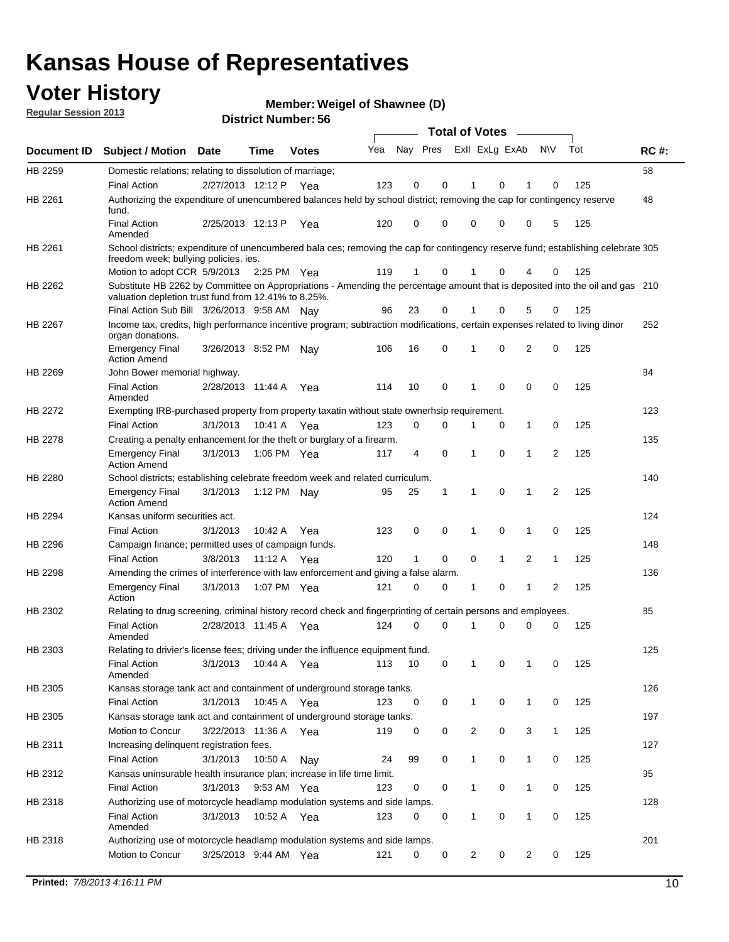### **Voter History**

**Member: Weigel of Shawnee (D)** 

**Regular Session 2013**

|             |                                                                                                                                                                                       |                       |             | טט . וסעווואדו ועוווסוע |     |                         |             | <b>Total of Votes</b> |              | $\overline{\phantom{a}}$ |              |     |             |
|-------------|---------------------------------------------------------------------------------------------------------------------------------------------------------------------------------------|-----------------------|-------------|-------------------------|-----|-------------------------|-------------|-----------------------|--------------|--------------------------|--------------|-----|-------------|
| Document ID | <b>Subject / Motion Date</b>                                                                                                                                                          |                       | <b>Time</b> | <b>Votes</b>            | Yea | Nay Pres Exll ExLg ExAb |             |                       |              |                          | <b>NV</b>    | Tot | <b>RC#:</b> |
| HB 2259     | Domestic relations; relating to dissolution of marriage;                                                                                                                              |                       |             |                         |     |                         |             |                       |              |                          |              |     | 58          |
|             | <b>Final Action</b>                                                                                                                                                                   | 2/27/2013 12:12 P     |             | Yea                     | 123 | 0                       | 0           | 1                     | 0            | 1                        | $\Omega$     | 125 |             |
| HB 2261     | Authorizing the expenditure of unencumbered balances held by school district; removing the cap for contingency reserve<br>fund.                                                       |                       |             |                         |     |                         |             |                       |              |                          |              |     | 48          |
|             | <b>Final Action</b><br>Amended                                                                                                                                                        | 2/25/2013 12:13 P     |             | Yea                     | 120 | 0                       | 0           | 0                     | 0            | 0                        | 5            | 125 |             |
| HB 2261     | School districts; expenditure of unencumbered bala ces; removing the cap for contingency reserve fund; establishing celebrate 305<br>freedom week; bullying policies. ies.            |                       |             |                         |     |                         |             |                       |              |                          |              |     |             |
|             | Motion to adopt CCR 5/9/2013                                                                                                                                                          |                       | 2:25 PM Yea |                         | 119 | 1                       | 0           |                       | 0            | 4                        | 0            | 125 |             |
| HB 2262     | Substitute HB 2262 by Committee on Appropriations - Amending the percentage amount that is deposited into the oil and gas 210<br>valuation depletion trust fund from 12.41% to 8.25%. |                       |             |                         |     |                         |             |                       |              |                          |              |     |             |
|             | Final Action Sub Bill 3/26/2013 9:58 AM Nay                                                                                                                                           |                       |             |                         | 96  | 23                      | 0           |                       | 0            | 5                        | 0            | 125 |             |
| HB 2267     | Income tax, credits, high performance incentive program; subtraction modifications, certain expenses related to living dinor<br>organ donations.                                      |                       |             |                         |     |                         |             |                       |              |                          |              |     | 252         |
|             | <b>Emergency Final</b><br><b>Action Amend</b>                                                                                                                                         | 3/26/2013 8:52 PM Nay |             |                         | 106 | 16                      | 0           | 1                     | 0            | 2                        | 0            | 125 |             |
| HB 2269     | John Bower memorial highway.                                                                                                                                                          |                       |             |                         |     |                         |             |                       |              |                          |              |     | 84          |
|             | <b>Final Action</b><br>Amended                                                                                                                                                        | 2/28/2013 11:44 A Yea |             |                         | 114 | 10                      | 0           | 1                     | 0            | 0                        | 0            | 125 |             |
| HB 2272     | Exempting IRB-purchased property from property taxatin without state ownerhsip requirement.                                                                                           |                       |             |                         |     |                         |             |                       |              |                          |              |     | 123         |
|             | <b>Final Action</b>                                                                                                                                                                   | 3/1/2013              | 10:41 A     | Yea                     | 123 | 0                       | 0           | 1                     | 0            | 1                        | 0            | 125 |             |
| HB 2278     | Creating a penalty enhancement for the theft or burglary of a firearm.                                                                                                                |                       |             |                         |     |                         |             |                       |              |                          |              |     | 135         |
|             | <b>Emergency Final</b><br><b>Action Amend</b>                                                                                                                                         | 3/1/2013              | 1:06 PM Yea |                         | 117 | 4                       | $\mathbf 0$ | 1                     | 0            | 1                        | 2            | 125 |             |
| HB 2280     | School districts; establishing celebrate freedom week and related curriculum.                                                                                                         |                       |             |                         |     |                         |             |                       |              |                          |              |     | 140         |
|             | <b>Emergency Final</b><br><b>Action Amend</b>                                                                                                                                         | 3/1/2013              | 1:12 PM Nay |                         | 95  | 25                      | 1           | 1                     | 0            | 1                        | 2            | 125 |             |
| HB 2294     | Kansas uniform securities act.                                                                                                                                                        |                       |             |                         |     |                         |             |                       |              |                          |              |     | 124         |
|             | <b>Final Action</b>                                                                                                                                                                   | 3/1/2013              | 10:42 A     | Yea                     | 123 | 0                       | 0           | 1                     | 0            | 1                        | 0            | 125 |             |
| HB 2296     | Campaign finance; permitted uses of campaign funds.                                                                                                                                   |                       |             |                         |     |                         |             |                       |              |                          |              |     | 148         |
|             | <b>Final Action</b>                                                                                                                                                                   | 3/8/2013              | 11:12 A Yea |                         | 120 | $\mathbf{1}$            | 0           | 0                     | $\mathbf{1}$ | 2                        | $\mathbf{1}$ | 125 |             |
| HB 2298     | Amending the crimes of interference with law enforcement and giving a false alarm.                                                                                                    |                       |             |                         |     |                         |             |                       |              |                          |              |     | 136         |
|             | <b>Emergency Final</b><br>Action                                                                                                                                                      | 3/1/2013              | 1:07 PM Yea |                         | 121 | 0                       | 0           | 1                     | 0            | 1                        | 2            | 125 |             |
| HB 2302     | Relating to drug screening, criminal history record check and fingerprinting of certain persons and employees.                                                                        |                       |             |                         |     |                         |             |                       |              |                          |              |     | 85          |
|             | <b>Final Action</b><br>Amended                                                                                                                                                        | 2/28/2013 11:45 A     |             | Yea                     | 124 | 0                       | $\Omega$    | 1                     | 0            | 0                        | $\mathbf 0$  | 125 |             |
| HB 2303     | Relating to drivier's license fees; driving under the influence equipment fund.                                                                                                       |                       |             |                         |     |                         |             |                       |              |                          |              |     | 125         |
|             | <b>Final Action</b><br>Amended                                                                                                                                                        | 3/1/2013              | 10:44 A     | Yea                     | 113 | 10                      | 0           | 1                     | 0            | 1                        | 0            | 125 |             |
| HB 2305     | Kansas storage tank act and containment of underground storage tanks.                                                                                                                 |                       |             |                         |     |                         |             |                       |              |                          |              |     | 126         |
|             | <b>Final Action</b>                                                                                                                                                                   | 3/1/2013              | 10:45 A     | Yea                     | 123 | 0                       | 0           | 1                     | 0            | 1                        | 0            | 125 |             |
| HB 2305     | Kansas storage tank act and containment of underground storage tanks.                                                                                                                 |                       |             |                         |     |                         |             |                       |              |                          |              |     | 197         |
|             | Motion to Concur                                                                                                                                                                      | 3/22/2013 11:36 A     |             | Yea                     | 119 | 0                       | 0           | 2                     | 0            | 3                        | $\mathbf{1}$ | 125 |             |
| HB 2311     | Increasing delinquent registration fees.                                                                                                                                              |                       |             |                         |     |                         |             |                       |              |                          |              |     | 127         |
|             | <b>Final Action</b>                                                                                                                                                                   | 3/1/2013              | 10:50 A     | Nay                     | 24  | 99                      | 0           | $\mathbf{1}$          | 0            | 1                        | 0            | 125 |             |
| HB 2312     | Kansas uninsurable health insurance plan; increase in life time limit.                                                                                                                |                       |             |                         |     |                         |             |                       |              |                          |              |     | 95          |
|             | <b>Final Action</b>                                                                                                                                                                   | 3/1/2013              | 9:53 AM Yea |                         | 123 | 0                       | 0           | 1                     | 0            | 1                        | 0            | 125 |             |
| HB 2318     | Authorizing use of motorcycle headlamp modulation systems and side lamps.                                                                                                             |                       |             |                         |     |                         |             |                       |              |                          |              |     | 128         |
|             | <b>Final Action</b><br>Amended                                                                                                                                                        | 3/1/2013              | 10:52 A     | Yea                     | 123 | 0                       | 0           | 1                     | 0            | 1                        | 0            | 125 |             |
| HB 2318     | Authorizing use of motorcycle headlamp modulation systems and side lamps.                                                                                                             |                       |             |                         |     |                         |             |                       |              |                          |              |     | 201         |
|             | Motion to Concur                                                                                                                                                                      | 3/25/2013 9:44 AM Yea |             |                         | 121 | 0                       | 0           | 2                     | 0            | 2                        | 0            | 125 |             |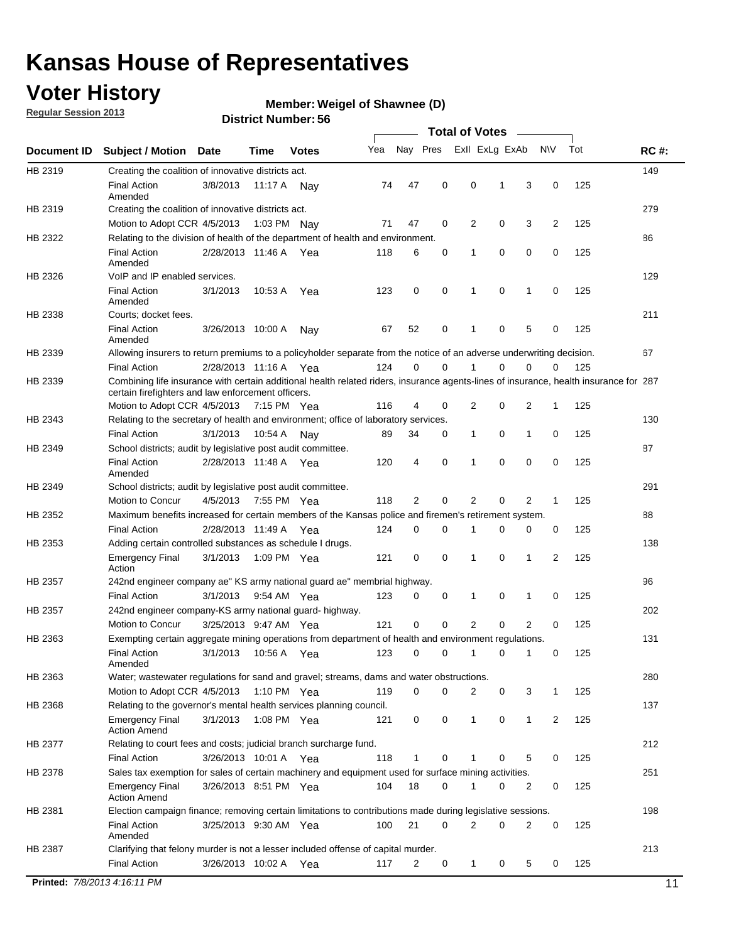### **Voter History**

**Member: Weigel of Shawnee (D)** 

**Regular Session 2013**

|             |                                                                                                                                                                                             |                       |             |               |     |             |             | <b>Total of Votes</b> |   |                |           |     |             |
|-------------|---------------------------------------------------------------------------------------------------------------------------------------------------------------------------------------------|-----------------------|-------------|---------------|-----|-------------|-------------|-----------------------|---|----------------|-----------|-----|-------------|
| Document ID | <b>Subject / Motion</b>                                                                                                                                                                     | <b>Date</b>           | Time        | <b>Votes</b>  | Yea | Nay Pres    |             | Exll ExLg ExAb        |   |                | <b>NV</b> | Tot | <b>RC#:</b> |
| HB 2319     | Creating the coalition of innovative districts act.                                                                                                                                         |                       |             |               |     |             |             |                       |   |                |           |     | 149         |
|             | <b>Final Action</b><br>Amended                                                                                                                                                              | 3/8/2013              | 11:17 A     | Nav           | 74  | 47          | 0           | 0                     | 1 | 3              | 0         | 125 |             |
| HB 2319     | Creating the coalition of innovative districts act.                                                                                                                                         |                       |             |               |     |             |             |                       |   |                |           |     | 279         |
|             | Motion to Adopt CCR 4/5/2013                                                                                                                                                                |                       |             | 1:03 PM Nay   | 71  | 47          | 0           | 2                     | 0 | 3              | 2         | 125 |             |
| HB 2322     | Relating to the division of health of the department of health and environment.                                                                                                             |                       |             |               |     |             |             |                       |   |                |           |     | 86          |
|             | <b>Final Action</b><br>Amended                                                                                                                                                              | 2/28/2013 11:46 A Yea |             |               | 118 | 6           | 0           | 1                     | 0 | 0              | 0         | 125 |             |
| HB 2326     | VoIP and IP enabled services.                                                                                                                                                               |                       |             |               |     |             |             |                       |   |                |           |     | 129         |
|             | <b>Final Action</b><br>Amended                                                                                                                                                              | 3/1/2013              | 10.53 A     | Yea           | 123 | $\mathbf 0$ | 0           | $\mathbf{1}$          | 0 | 1              | 0         | 125 |             |
| HB 2338     | Courts; docket fees.                                                                                                                                                                        |                       |             |               |     |             |             |                       |   |                |           |     | 211         |
|             | <b>Final Action</b><br>Amended                                                                                                                                                              | 3/26/2013 10:00 A     |             | Nav           | 67  | 52          | 0           | $\mathbf 1$           | 0 | 5              | 0         | 125 |             |
| HB 2339     | Allowing insurers to return premiums to a policyholder separate from the notice of an adverse underwriting decision.                                                                        |                       |             |               |     |             |             |                       |   |                |           |     | 67          |
|             | <b>Final Action</b>                                                                                                                                                                         | 2/28/2013 11:16 A Yea |             |               | 124 | 0           | 0           |                       | 0 | 0              | 0         | 125 |             |
| HB 2339     | Combining life insurance with certain additional health related riders, insurance agents-lines of insurance, health insurance for 287<br>certain firefighters and law enforcement officers. |                       |             |               |     |             |             |                       |   |                |           |     |             |
|             | Motion to Adopt CCR 4/5/2013 7:15 PM Yea                                                                                                                                                    |                       |             |               | 116 | 4           | 0           | 2                     | 0 | 2              | -1        | 125 |             |
| HB 2343     | Relating to the secretary of health and environment; office of laboratory services.                                                                                                         |                       |             |               |     |             |             |                       |   |                |           |     | 130         |
|             | <b>Final Action</b>                                                                                                                                                                         | 3/1/2013              | 10:54 A Nay |               | 89  | 34          | 0           | 1                     | 0 | $\mathbf{1}$   | 0         | 125 |             |
| HB 2349     | School districts; audit by legislative post audit committee.                                                                                                                                |                       |             |               |     |             |             |                       |   |                |           |     | 87          |
|             | <b>Final Action</b><br>Amended                                                                                                                                                              | 2/28/2013 11:48 A Yea |             |               | 120 | 4           | $\mathbf 0$ | $\mathbf{1}$          | 0 | $\mathbf 0$    | 0         | 125 |             |
| HB 2349     | School districts; audit by legislative post audit committee.                                                                                                                                |                       |             |               |     |             |             |                       |   |                |           |     | 291         |
|             | Motion to Concur                                                                                                                                                                            | 4/5/2013              |             | 7:55 PM Yea   | 118 | 2           | 0           | 2                     | 0 | 2              | 1         | 125 |             |
| HB 2352     | Maximum benefits increased for certain members of the Kansas police and firemen's retirement system.                                                                                        |                       |             |               |     |             |             |                       |   |                |           |     | 88          |
|             | <b>Final Action</b>                                                                                                                                                                         | 2/28/2013 11:49 A     |             | Yea           | 124 | 0           | 0           | 1                     | 0 | 0              | 0         | 125 |             |
| HB 2353     | Adding certain controlled substances as schedule I drugs.                                                                                                                                   |                       |             |               |     |             |             |                       |   |                |           |     | 138         |
|             | Emergency Final<br>Action                                                                                                                                                                   | 3/1/2013              |             | 1:09 PM Yea   | 121 | 0           | 0           | $\mathbf{1}$          | 0 | 1              | 2         | 125 |             |
| HB 2357     | 242nd engineer company ae" KS army national guard ae" membrial highway.                                                                                                                     |                       |             |               |     |             |             |                       |   |                |           |     | 96          |
|             | <b>Final Action</b>                                                                                                                                                                         | 3/1/2013              |             | 9:54 AM Yea   | 123 | 0           | 0           | 1                     | 0 | 1              | 0         | 125 |             |
| HB 2357     | 242nd engineer company-KS army national guard- highway.                                                                                                                                     |                       |             |               |     |             |             |                       |   |                |           |     | 202         |
|             | Motion to Concur                                                                                                                                                                            | 3/25/2013 9:47 AM Yea |             |               | 121 | $\mathbf 0$ | $\mathbf 0$ | 2                     | 0 | $\overline{2}$ | 0         | 125 |             |
| HB 2363     | Exempting certain aggregate mining operations from department of health and environment regulations.                                                                                        |                       |             |               |     |             |             |                       |   |                |           |     | 131         |
|             | <b>Final Action</b><br>Amended                                                                                                                                                              | 3/1/2013              | 10:56 A     | Yea           | 123 | 0           | 0           | 1                     | 0 | 1              | 0         | 125 |             |
| HB 2363     | Water; wastewater regulations for sand and gravel; streams, dams and water obstructions.                                                                                                    |                       |             |               |     |             |             |                       |   |                |           |     | 280         |
|             | Motion to Adopt CCR 4/5/2013                                                                                                                                                                |                       |             | 1:10 PM $Yea$ | 119 | 0           | 0           | 2                     | 0 | 3              | 1         | 125 |             |
| HB 2368     | Relating to the governor's mental health services planning council.                                                                                                                         |                       |             |               |     |             |             |                       |   |                |           |     | 137         |
|             | Emergency Final<br><b>Action Amend</b>                                                                                                                                                      | 3/1/2013              |             | 1:08 PM Yea   | 121 | 0           | 0           | 1                     | 0 | $\mathbf{1}$   | 2         | 125 |             |
| HB 2377     | Relating to court fees and costs; judicial branch surcharge fund.                                                                                                                           |                       |             |               |     |             |             |                       |   |                |           |     | 212         |
|             | <b>Final Action</b>                                                                                                                                                                         | 3/26/2013 10:01 A Yea |             |               | 118 | 1           | 0           |                       | 0 | 5              | 0         | 125 |             |
| HB 2378     | Sales tax exemption for sales of certain machinery and equipment used for surface mining activities.                                                                                        |                       |             |               |     |             |             |                       |   |                |           |     | 251         |
|             | Emergency Final<br><b>Action Amend</b>                                                                                                                                                      | 3/26/2013 8:51 PM Yea |             |               | 104 | 18          | 0           | 1                     | 0 | 2              | 0         | 125 |             |
| HB 2381     | Election campaign finance; removing certain limitations to contributions made during legislative sessions.                                                                                  |                       |             |               |     |             |             |                       |   |                |           |     | 198         |
|             | <b>Final Action</b><br>Amended                                                                                                                                                              | 3/25/2013 9:30 AM Yea |             |               | 100 | 21          | 0           | 2                     | 0 | 2              | 0         | 125 |             |
| HB 2387     | Clarifying that felony murder is not a lesser included offense of capital murder.                                                                                                           |                       |             |               |     |             |             |                       |   |                |           |     | 213         |
|             | <b>Final Action</b>                                                                                                                                                                         | 3/26/2013 10:02 A     |             | Yea           | 117 | 2           | 0           | 1                     | 0 | 5              | 0         | 125 |             |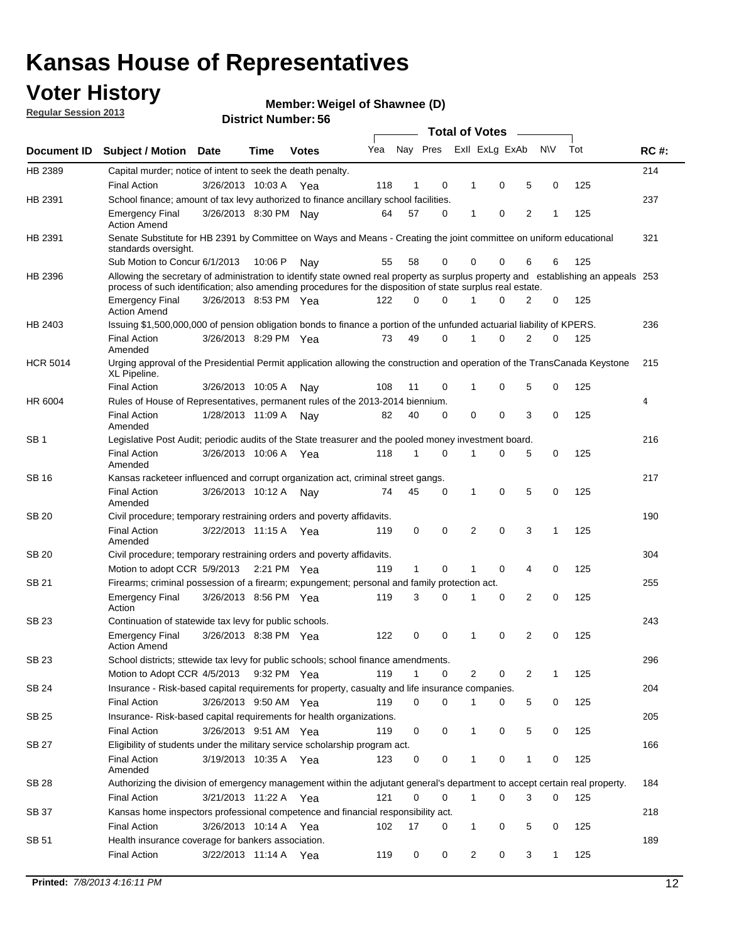### **Voter History**

**Member: Weigel of Shawnee (D)** 

**Regular Session 2013**

|                 |                                                                                                                                                                                                                                                  |                       |         | טט. וסמוווטנו ועוווסו |     |              |             |              | <b>Total of Votes</b> |                |           |     |             |
|-----------------|--------------------------------------------------------------------------------------------------------------------------------------------------------------------------------------------------------------------------------------------------|-----------------------|---------|-----------------------|-----|--------------|-------------|--------------|-----------------------|----------------|-----------|-----|-------------|
| Document ID     | <b>Subject / Motion Date</b>                                                                                                                                                                                                                     |                       | Time    | <b>Votes</b>          | Yea | Nay Pres     |             |              | Exll ExLg ExAb        |                | <b>NV</b> | Tot | <b>RC#:</b> |
| HB 2389         | Capital murder; notice of intent to seek the death penalty.                                                                                                                                                                                      |                       |         |                       |     |              |             |              |                       |                |           |     | 214         |
|                 | <b>Final Action</b>                                                                                                                                                                                                                              | 3/26/2013 10:03 A     |         | Yea                   | 118 | 1            | 0           | 1            | 0                     | 5              | 0         | 125 |             |
| HB 2391         | School finance; amount of tax levy authorized to finance ancillary school facilities.                                                                                                                                                            |                       |         |                       |     |              |             |              |                       |                |           |     | 237         |
|                 | <b>Emergency Final</b><br><b>Action Amend</b>                                                                                                                                                                                                    | 3/26/2013 8:30 PM Nay |         |                       | 64  | 57           | $\Omega$    | 1            | 0                     | $\overline{2}$ | 1         | 125 |             |
| HB 2391         | Senate Substitute for HB 2391 by Committee on Ways and Means - Creating the joint committee on uniform educational<br>standards oversight.                                                                                                       |                       |         |                       |     |              |             |              |                       |                |           |     | 321         |
|                 | Sub Motion to Concur 6/1/2013                                                                                                                                                                                                                    |                       | 10:06 P | Nav                   | 55  | 58           | 0           | 0            | 0                     | 6              | 6         | 125 |             |
| HB 2396         | Allowing the secretary of administration to identify state owned real property as surplus property and establishing an appeals 253<br>process of such identification; also amending procedures for the disposition of state surplus real estate. |                       |         |                       |     |              |             |              |                       |                |           |     |             |
|                 | <b>Emergency Final</b><br><b>Action Amend</b>                                                                                                                                                                                                    | 3/26/2013 8:53 PM Yea |         |                       | 122 | 0            | $\Omega$    |              | $\Omega$              | 2              | 0         | 125 |             |
| HB 2403         | Issuing \$1,500,000,000 of pension obligation bonds to finance a portion of the unfunded actuarial liability of KPERS.                                                                                                                           |                       |         |                       |     |              |             |              |                       |                |           |     | 236         |
|                 | <b>Final Action</b><br>Amended                                                                                                                                                                                                                   | 3/26/2013 8:29 PM Yea |         |                       | 73  | 49           | 0           | 1            | 0                     | $\overline{2}$ | 0         | 125 |             |
| <b>HCR 5014</b> | Urging approval of the Presidential Permit application allowing the construction and operation of the TransCanada Keystone<br>XL Pipeline.                                                                                                       |                       |         |                       |     |              |             |              |                       |                |           |     | 215         |
|                 | <b>Final Action</b>                                                                                                                                                                                                                              | 3/26/2013 10:05 A     |         | Nay                   | 108 | 11           | 0           | 1            | 0                     | 5              | 0         | 125 |             |
| HR 6004         | Rules of House of Representatives, permanent rules of the 2013-2014 biennium.                                                                                                                                                                    |                       |         |                       |     |              |             |              |                       |                |           |     | 4           |
|                 | <b>Final Action</b><br>Amended                                                                                                                                                                                                                   | 1/28/2013 11:09 A     |         | Nay                   | 82  | 40           | $\Omega$    | 0            | 0                     | 3              | 0         | 125 |             |
| SB <sub>1</sub> | Legislative Post Audit; periodic audits of the State treasurer and the pooled money investment board.                                                                                                                                            |                       |         |                       |     |              |             |              |                       |                |           |     | 216         |
|                 | <b>Final Action</b><br>Amended                                                                                                                                                                                                                   | 3/26/2013 10:06 A     |         | Yea                   | 118 | 1            | $\Omega$    | 1            | 0                     | 5              | 0         | 125 |             |
| SB 16           | Kansas racketeer influenced and corrupt organization act, criminal street gangs.                                                                                                                                                                 |                       |         |                       |     |              |             |              |                       |                |           |     | 217         |
|                 | <b>Final Action</b><br>Amended                                                                                                                                                                                                                   | 3/26/2013 10:12 A     |         | Nav                   | 74  | 45           | 0           | 1            | 0                     | 5              | 0         | 125 |             |
| <b>SB 20</b>    | Civil procedure; temporary restraining orders and poverty affidavits.                                                                                                                                                                            |                       |         |                       |     |              |             |              |                       |                |           |     | 190         |
|                 | <b>Final Action</b><br>Amended                                                                                                                                                                                                                   | 3/22/2013 11:15 A     |         | Yea                   | 119 | 0            | 0           | 2            | $\Omega$              | 3              | 1         | 125 |             |
| SB 20           | Civil procedure; temporary restraining orders and poverty affidavits.                                                                                                                                                                            |                       |         |                       |     |              |             |              |                       |                |           |     | 304         |
|                 | Motion to adopt CCR 5/9/2013                                                                                                                                                                                                                     |                       |         | 2:21 PM Yea           | 119 | $\mathbf{1}$ | 0           | 1            | 0                     | 4              | 0         | 125 |             |
| SB 21           | Firearms; criminal possession of a firearm; expungement; personal and family protection act.                                                                                                                                                     |                       |         |                       |     |              |             |              |                       |                |           |     | 255         |
|                 | <b>Emergency Final</b><br>Action                                                                                                                                                                                                                 | 3/26/2013 8:56 PM Yea |         |                       | 119 | 3            | $\Omega$    | 1            | 0                     | 2              | 0         | 125 |             |
| <b>SB 23</b>    | Continuation of statewide tax levy for public schools.                                                                                                                                                                                           |                       |         |                       |     |              |             |              |                       |                |           |     | 243         |
|                 | <b>Emergency Final</b><br><b>Action Amend</b>                                                                                                                                                                                                    | 3/26/2013 8:38 PM Yea |         |                       | 122 | 0            | 0           | 1            | 0                     | 2              | 0         | 125 |             |
| SB 23           | School districts; sttewide tax levy for public schools; school finance amendments.                                                                                                                                                               |                       |         |                       |     |              |             |              |                       |                |           |     | 296         |
|                 | Motion to Adopt CCR 4/5/2013                                                                                                                                                                                                                     |                       |         | 9:32 PM Yea           | 119 | 1            | 0           |              | 2<br>0                | 2              | 1         | 125 |             |
| <b>SB 24</b>    | Insurance - Risk-based capital requirements for property, casualty and life insurance companies.                                                                                                                                                 |                       |         |                       |     |              |             |              |                       |                |           |     | 204         |
|                 | Final Action                                                                                                                                                                                                                                     | 3/26/2013 9:50 AM Yea |         |                       | 119 | 0            | 0           | 1            | 0                     | 5              | 0         | 125 |             |
| <b>SB 25</b>    | Insurance-Risk-based capital requirements for health organizations.                                                                                                                                                                              |                       |         |                       |     |              |             |              |                       |                |           |     | 205         |
|                 | Final Action                                                                                                                                                                                                                                     | 3/26/2013 9:51 AM Yea |         |                       | 119 | 0            | 0           | 1            | 0                     | 5              | 0         | 125 |             |
| <b>SB 27</b>    | Eligibility of students under the military service scholarship program act.                                                                                                                                                                      |                       |         |                       |     |              |             |              |                       |                |           |     | 166         |
|                 | <b>Final Action</b><br>Amended                                                                                                                                                                                                                   | 3/19/2013 10:35 A Yea |         |                       | 123 | 0            | 0           |              | 0                     | 1              | 0         | 125 |             |
| SB 28           | Authorizing the division of emergency management within the adjutant general's department to accept certain real property.                                                                                                                       |                       |         |                       |     |              |             |              |                       |                |           |     | 184         |
|                 | <b>Final Action</b>                                                                                                                                                                                                                              | 3/21/2013 11:22 A Yea |         |                       | 121 | 0            | $\mathbf 0$ | $\mathbf{1}$ | 0                     | 3              | 0         | 125 |             |
| SB 37           | Kansas home inspectors professional competence and financial responsibility act.                                                                                                                                                                 |                       |         |                       |     |              |             |              |                       |                |           |     | 218         |
|                 | <b>Final Action</b>                                                                                                                                                                                                                              | 3/26/2013 10:14 A Yea |         |                       | 102 | 17           | 0           | 1            | 0                     | 5              | 0         | 125 |             |
| SB 51           | Health insurance coverage for bankers association.                                                                                                                                                                                               |                       |         |                       |     |              |             |              |                       |                |           |     | 189         |
|                 | Final Action                                                                                                                                                                                                                                     | 3/22/2013 11:14 A Yea |         |                       | 119 | 0            | 0           |              | 2<br>0                | 3              | 1         | 125 |             |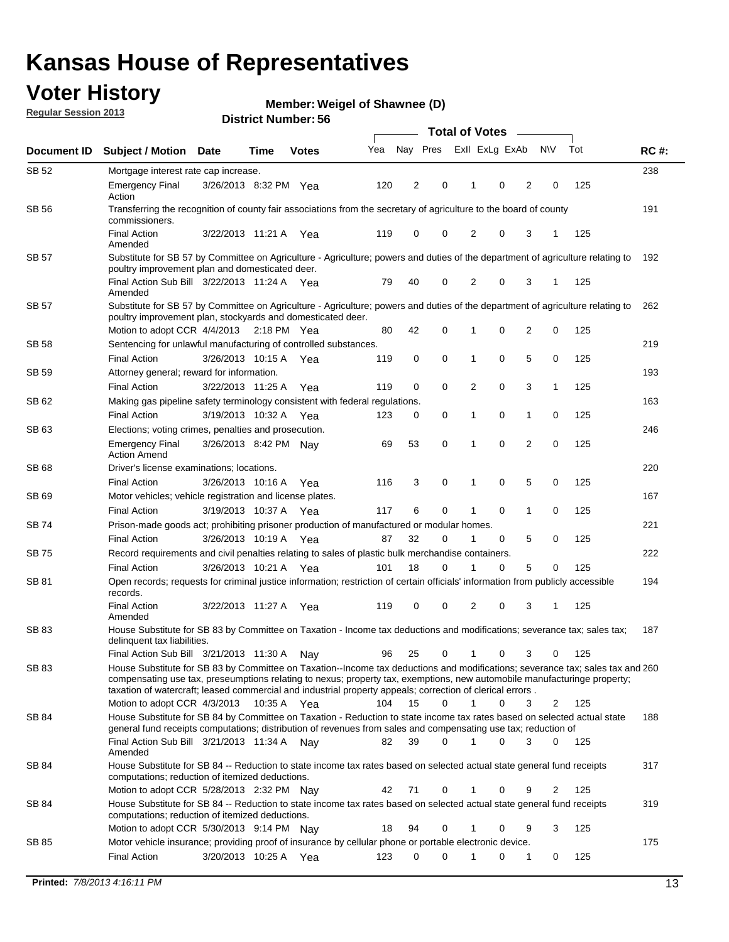### **Voter History**

**Member: Weigel of Shawnee (D)** 

**Regular Session 2013**

|              |                                                                                                                                                                                                                                                                                                                                                                         |                       |      |              |     | <b>Total of Votes</b> |          |                |             |                |                |     |             |  |
|--------------|-------------------------------------------------------------------------------------------------------------------------------------------------------------------------------------------------------------------------------------------------------------------------------------------------------------------------------------------------------------------------|-----------------------|------|--------------|-----|-----------------------|----------|----------------|-------------|----------------|----------------|-----|-------------|--|
| Document ID  | <b>Subject / Motion</b>                                                                                                                                                                                                                                                                                                                                                 | <b>Date</b>           | Time | <b>Votes</b> | Yea | Nay Pres              |          | Exll ExLg ExAb |             |                | <b>NV</b>      | Tot | <b>RC#:</b> |  |
| SB 52        | Mortgage interest rate cap increase.                                                                                                                                                                                                                                                                                                                                    |                       |      |              |     |                       |          |                |             |                |                |     | 238         |  |
|              | <b>Emergency Final</b><br>Action                                                                                                                                                                                                                                                                                                                                        | 3/26/2013 8:32 PM Yea |      |              | 120 | 2                     | 0        |                | 0           | 2              | 0              | 125 |             |  |
| <b>SB 56</b> | Transferring the recognition of county fair associations from the secretary of agriculture to the board of county<br>commissioners.                                                                                                                                                                                                                                     |                       |      |              |     |                       |          |                |             |                |                |     | 191         |  |
|              | <b>Final Action</b><br>Amended                                                                                                                                                                                                                                                                                                                                          | 3/22/2013 11:21 A     |      | Yea          | 119 | 0                     | 0        | 2              | 0           | 3              | 1              | 125 |             |  |
| SB 57        | Substitute for SB 57 by Committee on Agriculture - Agriculture; powers and duties of the department of agriculture relating to<br>poultry improvement plan and domesticated deer.                                                                                                                                                                                       |                       |      |              |     |                       |          |                |             |                |                |     | 192         |  |
|              | Final Action Sub Bill 3/22/2013 11:24 A Yea<br>Amended                                                                                                                                                                                                                                                                                                                  |                       |      |              | 79  | 40                    | 0        | 2              | 0           | 3              | -1             | 125 |             |  |
| SB 57        | Substitute for SB 57 by Committee on Agriculture - Agriculture; powers and duties of the department of agriculture relating to<br>poultry improvement plan, stockyards and domesticated deer.                                                                                                                                                                           |                       |      |              |     |                       |          |                |             |                |                |     | 262         |  |
|              | Motion to adopt CCR 4/4/2013 2:18 PM Yea                                                                                                                                                                                                                                                                                                                                |                       |      |              | 80  | 42                    | 0        | 1              | 0           | $\overline{2}$ | 0              | 125 |             |  |
| SB 58        | Sentencing for unlawful manufacturing of controlled substances.                                                                                                                                                                                                                                                                                                         |                       |      |              |     |                       |          |                |             |                |                |     | 219         |  |
|              | <b>Final Action</b>                                                                                                                                                                                                                                                                                                                                                     | 3/26/2013 10:15 A     |      | Yea          | 119 | 0                     | 0        | 1              | 0           | 5              | 0              | 125 |             |  |
| SB 59        | Attorney general; reward for information.                                                                                                                                                                                                                                                                                                                               |                       |      |              |     |                       |          |                |             |                |                |     | 193         |  |
|              | <b>Final Action</b>                                                                                                                                                                                                                                                                                                                                                     | 3/22/2013 11:25 A     |      | Yea          | 119 | 0                     | 0        | 2              | 0           | 3              | 1              | 125 |             |  |
| SB 62        | Making gas pipeline safety terminology consistent with federal regulations.                                                                                                                                                                                                                                                                                             |                       |      |              |     |                       |          |                |             |                |                |     | 163         |  |
|              | <b>Final Action</b>                                                                                                                                                                                                                                                                                                                                                     | 3/19/2013 10:32 A     |      | Yea          | 123 | 0                     | 0        | 1              | 0           | 1              | 0              | 125 |             |  |
| SB 63        | Elections; voting crimes, penalties and prosecution.<br><b>Emergency Final</b>                                                                                                                                                                                                                                                                                          | 3/26/2013 8:42 PM Nay |      |              | 69  | 53                    | 0        | 1              | $\mathbf 0$ | $\overline{2}$ | $\mathbf 0$    | 125 | 246         |  |
| <b>SB68</b>  | <b>Action Amend</b><br>Driver's license examinations; locations.                                                                                                                                                                                                                                                                                                        |                       |      |              |     |                       |          |                |             |                |                |     | 220         |  |
|              | <b>Final Action</b>                                                                                                                                                                                                                                                                                                                                                     | 3/26/2013 10:16 A     |      | Yea          | 116 | 3                     | 0        | 1              | 0           | 5              | 0              | 125 |             |  |
| SB 69        | Motor vehicles; vehicle registration and license plates.                                                                                                                                                                                                                                                                                                                |                       |      |              |     |                       |          |                |             |                |                |     | 167         |  |
|              | <b>Final Action</b>                                                                                                                                                                                                                                                                                                                                                     | 3/19/2013 10:37 A     |      | Yea          | 117 | 6                     | 0        | 1              | 0           | $\mathbf{1}$   | 0              | 125 |             |  |
| SB 74        | Prison-made goods act; prohibiting prisoner production of manufactured or modular homes.                                                                                                                                                                                                                                                                                |                       |      |              |     |                       |          |                |             |                |                |     | 221         |  |
|              | <b>Final Action</b>                                                                                                                                                                                                                                                                                                                                                     | 3/26/2013 10:19 A     |      | Yea          | 87  | 32                    | 0        | 1              | 0           | 5              | 0              | 125 |             |  |
| SB 75        | Record requirements and civil penalties relating to sales of plastic bulk merchandise containers.                                                                                                                                                                                                                                                                       |                       |      |              |     |                       |          |                |             |                |                |     | 222         |  |
|              | <b>Final Action</b>                                                                                                                                                                                                                                                                                                                                                     | 3/26/2013 10:21 A     |      | Yea          | 101 | 18                    | 0        | 1              | 0           | 5              | 0              | 125 |             |  |
| SB 81        | Open records; requests for criminal justice information; restriction of certain officials' information from publicly accessible<br>records.                                                                                                                                                                                                                             |                       |      |              |     |                       |          |                |             |                |                |     | 194         |  |
|              | <b>Final Action</b><br>Amended                                                                                                                                                                                                                                                                                                                                          | 3/22/2013 11:27 A     |      | Yea          | 119 | 0                     | 0        | 2              | 0           | 3              | 1              | 125 |             |  |
| <b>SB83</b>  | House Substitute for SB 83 by Committee on Taxation - Income tax deductions and modifications; severance tax; sales tax;<br>delinquent tax liabilities.                                                                                                                                                                                                                 |                       |      |              |     |                       |          |                |             |                |                |     | 187         |  |
|              | Final Action Sub Bill 3/21/2013 11:30 A                                                                                                                                                                                                                                                                                                                                 |                       |      | Nav          | 96  | 25                    | 0        | $\mathbf{1}$   | 0           | 3              | 0              | 125 |             |  |
| SB 83        | House Substitute for SB 83 by Committee on Taxation--Income tax deductions and modifications; severance tax; sales tax and 260<br>compensating use tax, preseumptions relating to nexus; property tax, exemptions, new automobile manufacturinge property;<br>taxation of watercraft; leased commercial and industrial property appeals; correction of clerical errors. |                       |      |              |     |                       |          |                |             |                |                |     |             |  |
|              | Motion to adopt CCR 4/3/2013 10:35 A Yea                                                                                                                                                                                                                                                                                                                                |                       |      |              | 104 | 15                    | 0        | $\mathbf{1}$   | 0           | 3              | 2              | 125 |             |  |
| SB 84        | House Substitute for SB 84 by Committee on Taxation - Reduction to state income tax rates based on selected actual state<br>general fund receipts computations; distribution of revenues from sales and compensating use tax; reduction of<br>Final Action Sub Bill 3/21/2013 11:34 A Nay                                                                               |                       |      |              | 82  | 39                    | $\Omega$ |                | $\Omega$    | 3              | $\mathbf{0}$   | 125 | 188         |  |
|              | Amended                                                                                                                                                                                                                                                                                                                                                                 |                       |      |              |     |                       |          |                |             |                |                |     |             |  |
| SB 84        | House Substitute for SB 84 -- Reduction to state income tax rates based on selected actual state general fund receipts<br>computations; reduction of itemized deductions.                                                                                                                                                                                               |                       |      |              |     |                       |          |                |             |                |                |     | 317         |  |
|              | Motion to adopt CCR 5/28/2013 2:32 PM Nay                                                                                                                                                                                                                                                                                                                               |                       |      |              | 42  | 71                    | 0        | 1              | 0           | 9              | $\overline{2}$ | 125 |             |  |
| SB 84        | House Substitute for SB 84 -- Reduction to state income tax rates based on selected actual state general fund receipts<br>computations; reduction of itemized deductions.                                                                                                                                                                                               |                       |      |              |     |                       |          |                |             |                | 3              |     | 319         |  |
|              | Motion to adopt CCR 5/30/2013 9:14 PM Nay                                                                                                                                                                                                                                                                                                                               |                       |      |              | 18  | 94                    | 0        | 1              | 0           | 9              |                | 125 | 175         |  |
| SB 85        | Motor vehicle insurance; providing proof of insurance by cellular phone or portable electronic device.<br><b>Final Action</b>                                                                                                                                                                                                                                           | 3/20/2013 10:25 A Yea |      |              | 123 | 0                     | $\Omega$ |                | 0           | 1              | 0              | 125 |             |  |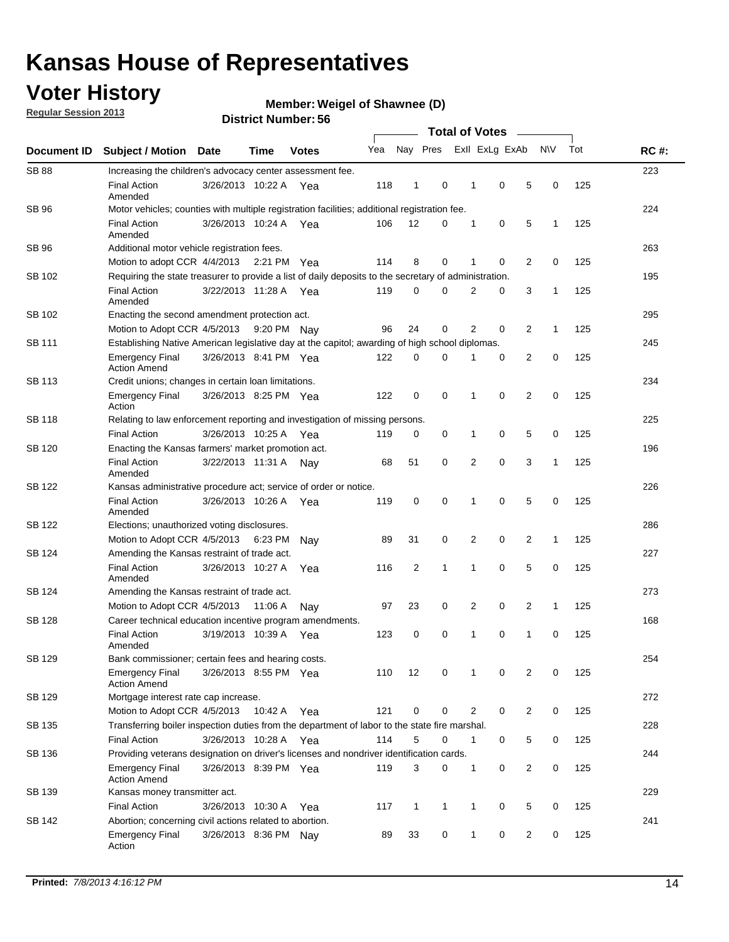### **Voter History**

**Member: Weigel of Shawnee (D)** 

**Regular Session 2013**

|                    |                                                                                                       |                       | טט. וסמוווטנו ועוווטכ | <b>Total of Votes</b> |     |              |              |  |                |                |                |              |     |             |
|--------------------|-------------------------------------------------------------------------------------------------------|-----------------------|-----------------------|-----------------------|-----|--------------|--------------|--|----------------|----------------|----------------|--------------|-----|-------------|
| <b>Document ID</b> | <b>Subject / Motion</b>                                                                               | Date                  | Time                  | <b>Votes</b>          | Yea |              | Nay Pres     |  |                | Exll ExLg ExAb |                | <b>NV</b>    | Tot | <b>RC#:</b> |
| <b>SB 88</b>       | Increasing the children's advocacy center assessment fee.                                             |                       |                       |                       |     |              |              |  |                |                |                |              |     | 223         |
|                    | <b>Final Action</b><br>Amended                                                                        | 3/26/2013 10:22 A Yea |                       |                       | 118 | 1            | 0            |  | 1              | 0              | 5              | 0            | 125 |             |
| SB 96              | Motor vehicles; counties with multiple registration facilities; additional registration fee.          |                       |                       |                       |     |              |              |  |                |                |                |              |     | 224         |
|                    | <b>Final Action</b><br>Amended                                                                        | 3/26/2013 10:24 A     |                       | Yea                   | 106 | 12           | $\Omega$     |  | 1              | 0              | 5              | $\mathbf{1}$ | 125 |             |
| SB 96              | Additional motor vehicle registration fees.                                                           |                       |                       |                       |     |              |              |  |                |                |                |              |     | 263         |
|                    | Motion to adopt CCR 4/4/2013 2:21 PM Yea                                                              |                       |                       |                       | 114 | 8            | 0            |  | 1              | 0              | 2              | 0            | 125 |             |
| SB 102             | Requiring the state treasurer to provide a list of daily deposits to the secretary of administration. |                       |                       |                       |     |              |              |  |                |                |                |              |     | 195         |
|                    | <b>Final Action</b><br>Amended                                                                        | 3/22/2013 11:28 A Yea |                       |                       | 119 | 0            | 0            |  | 2              | 0              | 3              | 1            | 125 |             |
| SB 102             | Enacting the second amendment protection act.                                                         |                       |                       |                       |     |              |              |  |                |                |                |              |     | 295         |
|                    | Motion to Adopt CCR 4/5/2013 9:20 PM Nav                                                              |                       |                       |                       | 96  | 24           | 0            |  | $\overline{2}$ | 0              | 2              | $\mathbf{1}$ | 125 |             |
| <b>SB 111</b>      | Establishing Native American legislative day at the capitol; awarding of high school diplomas.        |                       |                       |                       |     |              |              |  |                |                |                |              | 245 |             |
|                    | <b>Emergency Final</b><br><b>Action Amend</b>                                                         | 3/26/2013 8:41 PM Yea |                       |                       | 122 | 0            | 0            |  | 1              | 0              | 2              | 0            | 125 |             |
| SB 113             | Credit unions; changes in certain loan limitations.                                                   |                       |                       |                       |     |              |              |  |                |                |                |              |     | 234         |
|                    | <b>Emergency Final</b><br>Action                                                                      | 3/26/2013 8:25 PM Yea |                       |                       | 122 | 0            | 0            |  | 1              | $\mathbf 0$    | $\overline{2}$ | $\mathbf 0$  | 125 |             |
| SB 118             | Relating to law enforcement reporting and investigation of missing persons.                           |                       |                       |                       |     |              |              |  |                |                |                |              |     | 225         |
|                    | <b>Final Action</b>                                                                                   | 3/26/2013 10:25 A     |                       | Yea                   | 119 | 0            | 0            |  | 1              | 0              | 5              | 0            | 125 |             |
| SB 120             | Enacting the Kansas farmers' market promotion act.                                                    |                       |                       |                       |     |              |              |  |                |                |                | 196          |     |             |
|                    | <b>Final Action</b><br>Amended                                                                        | 3/22/2013 11:31 A     |                       | Nav                   | 68  | 51           | 0            |  | $\overline{2}$ | 0              | 3              | 1            | 125 |             |
| SB 122             | Kansas administrative procedure act; service of order or notice.                                      |                       |                       |                       |     |              |              |  |                |                |                | 226          |     |             |
|                    | <b>Final Action</b><br>Amended                                                                        | 3/26/2013 10:26 A Yea |                       |                       | 119 | $\mathbf 0$  | 0            |  | 1              | 0              | 5              | 0            | 125 |             |
| <b>SB 122</b>      | Elections; unauthorized voting disclosures.                                                           |                       |                       |                       |     |              |              |  |                |                |                |              |     | 286         |
|                    | Motion to Adopt CCR 4/5/2013                                                                          |                       | 6:23 PM               | Nav                   | 89  | 31           | 0            |  | 2              | 0              | $\overline{2}$ | 1            | 125 |             |
| SB 124             | Amending the Kansas restraint of trade act.                                                           |                       |                       |                       |     |              |              |  |                |                |                |              |     | 227         |
|                    | <b>Final Action</b><br>Amended                                                                        | 3/26/2013 10:27 A     |                       | Yea                   | 116 | 2            | 1            |  | 1              | $\mathbf 0$    | 5              | $\mathbf 0$  | 125 |             |
| SB 124             | Amending the Kansas restraint of trade act.                                                           |                       |                       |                       |     |              |              |  |                |                |                |              |     | 273         |
|                    | Motion to Adopt CCR 4/5/2013                                                                          |                       | 11:06 A               | Nav                   | 97  | 23           | 0            |  | 2              | 0              | 2              | $\mathbf{1}$ | 125 |             |
| SB 128             | Career technical education incentive program amendments.                                              |                       |                       |                       |     |              |              |  |                |                |                |              |     | 168         |
|                    | <b>Final Action</b><br>Amended                                                                        | 3/19/2013 10:39 A     |                       | Yea                   | 123 | 0            | 0            |  | 1              | 0              | 1              | 0            | 125 |             |
| SB 129             | Bank commissioner; certain fees and hearing costs.                                                    |                       |                       |                       |     |              |              |  |                |                |                |              |     | 254         |
|                    | <b>Emergency Final</b><br><b>Action Amend</b>                                                         | 3/26/2013 8:55 PM Yea |                       |                       | 110 | 12           | 0            |  | 1              | 0              | 2              | 0            | 125 |             |
| SB 129             | Mortgage interest rate cap increase.                                                                  |                       |                       |                       |     |              |              |  |                |                |                |              |     | 272         |
|                    | Motion to Adopt CCR 4/5/2013                                                                          |                       | 10:42 A Yea           |                       | 121 | 0            | 0            |  | $\overline{2}$ | 0              | 2              | 0            | 125 |             |
| SB 135             | Transferring boiler inspection duties from the department of labor to the state fire marshal.         |                       |                       |                       |     |              |              |  |                |                |                |              |     | 228         |
|                    | <b>Final Action</b>                                                                                   | 3/26/2013 10:28 A Yea |                       |                       | 114 | 5            | 0            |  | $\mathbf{1}$   | 0              | 5              | 0            | 125 |             |
| SB 136             | Providing veterans designation on driver's licenses and nondriver identification cards.               |                       |                       |                       |     |              |              |  |                |                |                |              |     | 244         |
|                    | <b>Emergency Final</b><br><b>Action Amend</b>                                                         | 3/26/2013 8:39 PM Yea |                       |                       | 119 | 3            | 0            |  | $\mathbf{1}$   | 0              | 2              | 0            | 125 |             |
| SB 139             | Kansas money transmitter act.                                                                         |                       |                       |                       |     |              |              |  |                |                |                |              |     | 229         |
|                    | <b>Final Action</b>                                                                                   | 3/26/2013 10:30 A Yea |                       |                       | 117 | $\mathbf{1}$ | $\mathbf{1}$ |  | $\mathbf{1}$   | $\mathbf 0$    | 5              | 0            | 125 |             |
| SB 142             | Abortion; concerning civil actions related to abortion.                                               |                       |                       |                       |     |              |              |  |                |                |                |              |     | 241         |
|                    | <b>Emergency Final</b><br>Action                                                                      | 3/26/2013 8:36 PM Nay |                       |                       | 89  | 33           | 0            |  | $\mathbf{1}$   | 0              | 2              | 0            | 125 |             |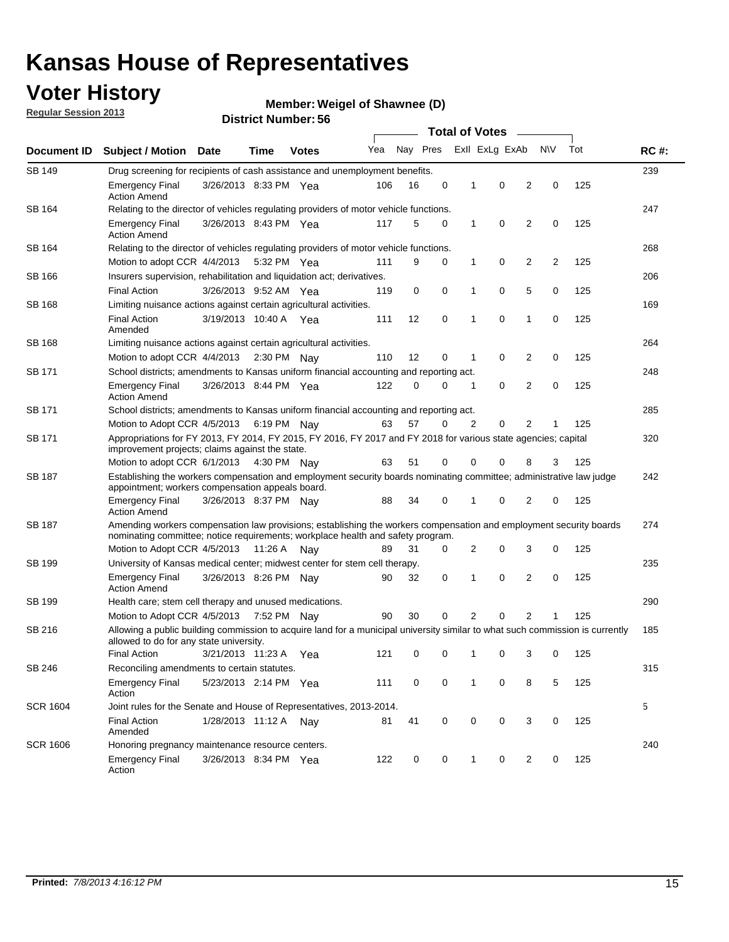### **Voter History**

**Member: Weigel of Shawnee (D)** 

**Regular Session 2013**

| Document ID     |                                                                                                                                                                                                       |                                                  |             |              |     |          | <b>Total of Votes</b> |   |                | $\sim$         |           |     | <b>RC#:</b> |  |  |  |  |  |  |
|-----------------|-------------------------------------------------------------------------------------------------------------------------------------------------------------------------------------------------------|--------------------------------------------------|-------------|--------------|-----|----------|-----------------------|---|----------------|----------------|-----------|-----|-------------|--|--|--|--|--|--|
|                 | <b>Subject / Motion Date</b>                                                                                                                                                                          |                                                  | Time        | <b>Votes</b> | Yea | Nay Pres |                       |   | Exll ExLg ExAb |                | <b>NV</b> | Tot |             |  |  |  |  |  |  |
| <b>SB 149</b>   | Drug screening for recipients of cash assistance and unemployment benefits.                                                                                                                           |                                                  |             |              |     |          |                       |   |                |                |           |     | 239         |  |  |  |  |  |  |
|                 | <b>Emergency Final</b><br><b>Action Amend</b>                                                                                                                                                         | 3/26/2013 8:33 PM Yea                            |             |              | 106 | 16       | 0                     | 1 | 0              | 2              | 0         | 125 |             |  |  |  |  |  |  |
| SB 164          | Relating to the director of vehicles regulating providers of motor vehicle functions.                                                                                                                 |                                                  |             |              |     |          |                       |   |                |                |           |     | 247         |  |  |  |  |  |  |
|                 | <b>Emergency Final</b><br><b>Action Amend</b>                                                                                                                                                         | 3/26/2013 8:43 PM Yea                            |             |              | 117 | 5        | 0                     | 1 | 0              | 2              | 0         | 125 |             |  |  |  |  |  |  |
| SB 164          | Relating to the director of vehicles regulating providers of motor vehicle functions.                                                                                                                 |                                                  |             |              |     |          |                       |   |                |                |           |     | 268         |  |  |  |  |  |  |
|                 | Motion to adopt CCR 4/4/2013                                                                                                                                                                          |                                                  | 5:32 PM Yea |              | 111 | 9        | 0                     | 1 | 0              | 2              | 2         | 125 |             |  |  |  |  |  |  |
| SB 166          | Insurers supervision, rehabilitation and liquidation act; derivatives.                                                                                                                                |                                                  |             |              |     |          |                       |   |                |                |           |     | 206         |  |  |  |  |  |  |
|                 | <b>Final Action</b>                                                                                                                                                                                   | 3/26/2013 9:52 AM Yea                            |             |              | 119 | 0        | 0                     | 1 | 0              | 5              | 0         | 125 |             |  |  |  |  |  |  |
| SB 168          | Limiting nuisance actions against certain agricultural activities.                                                                                                                                    |                                                  |             |              |     |          |                       |   |                |                |           |     | 169         |  |  |  |  |  |  |
|                 | <b>Final Action</b><br>Amended                                                                                                                                                                        | 3/19/2013 10:40 A Yea                            |             |              | 111 | 12       | 0                     | 1 | 0              | 1              | 0         | 125 |             |  |  |  |  |  |  |
| SB 168          | Limiting nuisance actions against certain agricultural activities.                                                                                                                                    |                                                  |             |              |     |          |                       |   |                |                |           |     | 264         |  |  |  |  |  |  |
|                 | Motion to adopt CCR 4/4/2013                                                                                                                                                                          |                                                  |             | 2:30 PM Nay  | 110 | 12       | 0                     | 1 | 0              | 2              | 0         | 125 |             |  |  |  |  |  |  |
| <b>SB 171</b>   | School districts; amendments to Kansas uniform financial accounting and reporting act.                                                                                                                |                                                  |             |              |     |          |                       |   |                |                |           |     | 248         |  |  |  |  |  |  |
|                 | <b>Emergency Final</b><br><b>Action Amend</b>                                                                                                                                                         | 3/26/2013 8:44 PM Yea                            |             |              | 122 | 0        | 0                     | 1 | 0              | 2              | 0         | 125 |             |  |  |  |  |  |  |
| SB 171          | School districts; amendments to Kansas uniform financial accounting and reporting act.                                                                                                                |                                                  |             |              |     |          |                       |   |                |                |           | 285 |             |  |  |  |  |  |  |
|                 | Motion to Adopt CCR 4/5/2013 6:19 PM Nay                                                                                                                                                              |                                                  |             |              | 63  | 57       | 0                     | 2 | 0              | 2              | 125<br>1  |     |             |  |  |  |  |  |  |
| SB 171          | Appropriations for FY 2013, FY 2014, FY 2015, FY 2016, FY 2017 and FY 2018 for various state agencies; capital<br>improvement projects; claims against the state.                                     |                                                  |             |              |     |          |                       |   |                |                |           | 320 |             |  |  |  |  |  |  |
|                 | Motion to adopt CCR 6/1/2013 4:30 PM Nay                                                                                                                                                              |                                                  |             |              | 63  | 51       | 0                     | 0 | 0              | 8              | 3         | 125 |             |  |  |  |  |  |  |
| SB 187          | Establishing the workers compensation and employment security boards nominating committee; administrative law judge<br>appointment; workers compensation appeals board.                               |                                                  |             |              |     |          |                       |   |                |                |           |     | 242         |  |  |  |  |  |  |
|                 | <b>Emergency Final</b><br><b>Action Amend</b>                                                                                                                                                         | 3/26/2013 8:37 PM Nay                            |             |              | 88  | 34       | 0                     | 1 | 0              | 2              | 0         | 125 |             |  |  |  |  |  |  |
| SB 187          | Amending workers compensation law provisions; establishing the workers compensation and employment security boards<br>nominating committee; notice requirements; workplace health and safety program. |                                                  |             |              |     |          |                       |   |                |                |           |     | 274         |  |  |  |  |  |  |
|                 | Motion to Adopt CCR 4/5/2013 11:26 A Nay                                                                                                                                                              |                                                  |             |              | 89  | 31       | 0                     | 2 | 0              | 3              | 0         | 125 |             |  |  |  |  |  |  |
| SB 199          | University of Kansas medical center; midwest center for stem cell therapy.                                                                                                                            |                                                  |             |              |     |          |                       |   |                |                |           |     | 235         |  |  |  |  |  |  |
|                 | <b>Emergency Final</b><br><b>Action Amend</b>                                                                                                                                                         | 3/26/2013 8:26 PM Nav                            |             |              | 90  | 32       | 0                     | 1 | 0              | 2              | 0         | 125 |             |  |  |  |  |  |  |
| SB 199          | Health care; stem cell therapy and unused medications.                                                                                                                                                |                                                  |             |              |     |          |                       |   |                |                |           |     | 290         |  |  |  |  |  |  |
|                 | Motion to Adopt CCR 4/5/2013                                                                                                                                                                          |                                                  | 7:52 PM Nay |              | 90  | 30       | 0                     | 2 | 0              | $\overline{2}$ | 1         | 125 |             |  |  |  |  |  |  |
| SB 216          | Allowing a public building commission to acquire land for a municipal university similar to what such commission is currently<br>allowed to do for any state university.                              |                                                  |             |              |     |          |                       |   |                |                |           |     | 185         |  |  |  |  |  |  |
|                 | <b>Final Action</b>                                                                                                                                                                                   | 3/21/2013 11:23 A                                |             | Yea          | 121 | 0        | 0                     | 1 | 0              | 3              | 0         | 125 |             |  |  |  |  |  |  |
| SB 246          | Reconciling amendments to certain statutes.                                                                                                                                                           |                                                  |             |              |     |          |                       |   |                |                |           |     | 315         |  |  |  |  |  |  |
|                 | <b>Emergency Final</b><br>Action                                                                                                                                                                      | 5/23/2013 2:14 PM Yea                            |             |              | 111 | 0        | 0                     | 1 | 0              | 8              | 5         | 125 |             |  |  |  |  |  |  |
| <b>SCR 1604</b> | Joint rules for the Senate and House of Representatives, 2013-2014.                                                                                                                                   |                                                  |             |              |     |          |                       |   |                |                |           |     | 5           |  |  |  |  |  |  |
|                 | <b>Final Action</b><br>Amended                                                                                                                                                                        | 1/28/2013 11:12 A Nay                            |             |              | 81  | 41       | 0                     | 0 | 0              | 3              | 0         | 125 |             |  |  |  |  |  |  |
| <b>SCR 1606</b> |                                                                                                                                                                                                       | Honoring pregnancy maintenance resource centers. |             |              |     |          |                       |   |                |                |           | 240 |             |  |  |  |  |  |  |
|                 | <b>Emergency Final</b><br>Action                                                                                                                                                                      | 3/26/2013 8:34 PM Yea                            |             |              | 122 | 0        | 0                     | 1 | 0              | 2              | 0         | 125 |             |  |  |  |  |  |  |